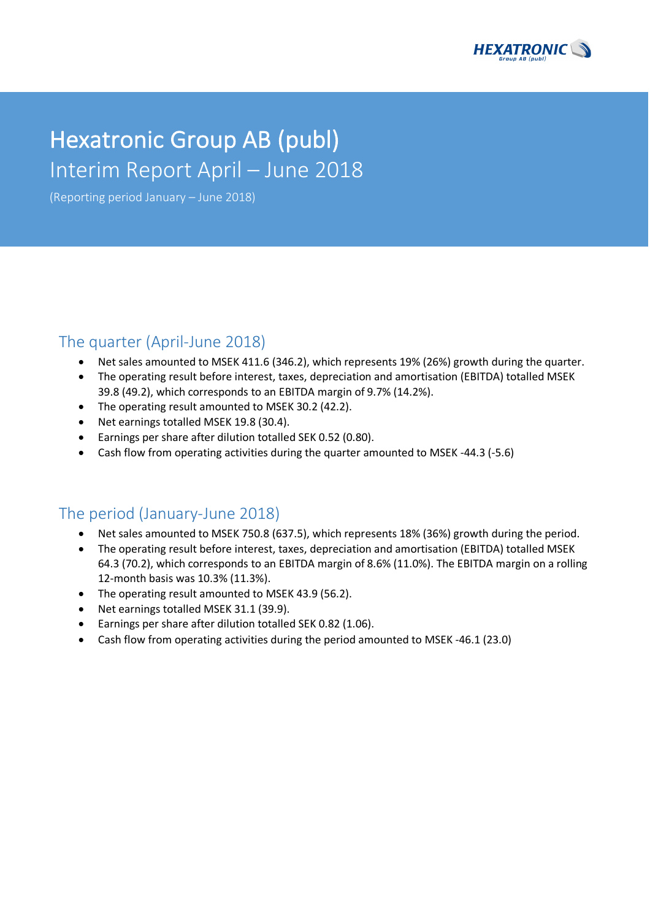

# Hexatronic Group AB (publ) Interim Report April – June 2018

(Reporting period January – June 2018)

### The quarter (April-June 2018)

- Net sales amounted to MSEK 411.6 (346.2), which represents 19% (26%) growth during the quarter.
- The operating result before interest, taxes, depreciation and amortisation (EBITDA) totalled MSEK 39.8 (49.2), which corresponds to an EBITDA margin of 9.7% (14.2%).
- The operating result amounted to MSEK 30.2 (42.2).
- Net earnings totalled MSEK 19.8 (30.4).
- Earnings per share after dilution totalled SEK 0.52 (0.80).
- Cash flow from operating activities during the quarter amounted to MSEK -44.3 (-5.6)

### The period (January-June 2018)

- Net sales amounted to MSEK 750.8 (637.5), which represents 18% (36%) growth during the period.
- The operating result before interest, taxes, depreciation and amortisation (EBITDA) totalled MSEK 64.3 (70.2), which corresponds to an EBITDA margin of 8.6% (11.0%). The EBITDA margin on a rolling 12-month basis was 10.3% (11.3%).
- The operating result amounted to MSEK 43.9 (56.2).
- Net earnings totalled MSEK 31.1 (39.9).
- Earnings per share after dilution totalled SEK 0.82 (1.06).
- Cash flow from operating activities during the period amounted to MSEK -46.1 (23.0)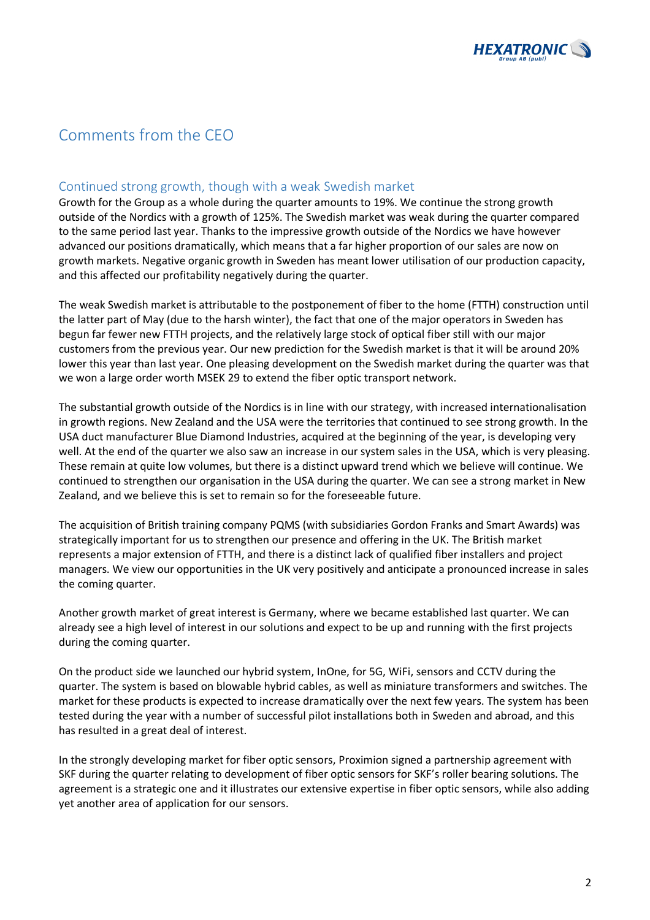

# Comments from the CEO

### Continued strong growth, though with a weak Swedish market

Growth for the Group as a whole during the quarter amounts to 19%. We continue the strong growth outside of the Nordics with a growth of 125%. The Swedish market was weak during the quarter compared to the same period last year. Thanks to the impressive growth outside of the Nordics we have however advanced our positions dramatically, which means that a far higher proportion of our sales are now on growth markets. Negative organic growth in Sweden has meant lower utilisation of our production capacity, and this affected our profitability negatively during the quarter.

The weak Swedish market is attributable to the postponement of fiber to the home (FTTH) construction until the latter part of May (due to the harsh winter), the fact that one of the major operators in Sweden has begun far fewer new FTTH projects, and the relatively large stock of optical fiber still with our major customers from the previous year. Our new prediction for the Swedish market is that it will be around 20% lower this year than last year. One pleasing development on the Swedish market during the quarter was that we won a large order worth MSEK 29 to extend the fiber optic transport network.

The substantial growth outside of the Nordics is in line with our strategy, with increased internationalisation in growth regions. New Zealand and the USA were the territories that continued to see strong growth. In the USA duct manufacturer Blue Diamond Industries, acquired at the beginning of the year, is developing very well. At the end of the quarter we also saw an increase in our system sales in the USA, which is very pleasing. These remain at quite low volumes, but there is a distinct upward trend which we believe will continue. We continued to strengthen our organisation in the USA during the quarter. We can see a strong market in New Zealand, and we believe this is set to remain so for the foreseeable future.

The acquisition of British training company PQMS (with subsidiaries Gordon Franks and Smart Awards) was strategically important for us to strengthen our presence and offering in the UK. The British market represents a major extension of FTTH, and there is a distinct lack of qualified fiber installers and project managers. We view our opportunities in the UK very positively and anticipate a pronounced increase in sales the coming quarter.

Another growth market of great interest is Germany, where we became established last quarter. We can already see a high level of interest in our solutions and expect to be up and running with the first projects during the coming quarter.

On the product side we launched our hybrid system, InOne, for 5G, WiFi, sensors and CCTV during the quarter. The system is based on blowable hybrid cables, as well as miniature transformers and switches. The market for these products is expected to increase dramatically over the next few years. The system has been tested during the year with a number of successful pilot installations both in Sweden and abroad, and this has resulted in a great deal of interest.

In the strongly developing market for fiber optic sensors, Proximion signed a partnership agreement with SKF during the quarter relating to development of fiber optic sensors for SKF's roller bearing solutions. The agreement is a strategic one and it illustrates our extensive expertise in fiber optic sensors, while also adding yet another area of application for our sensors.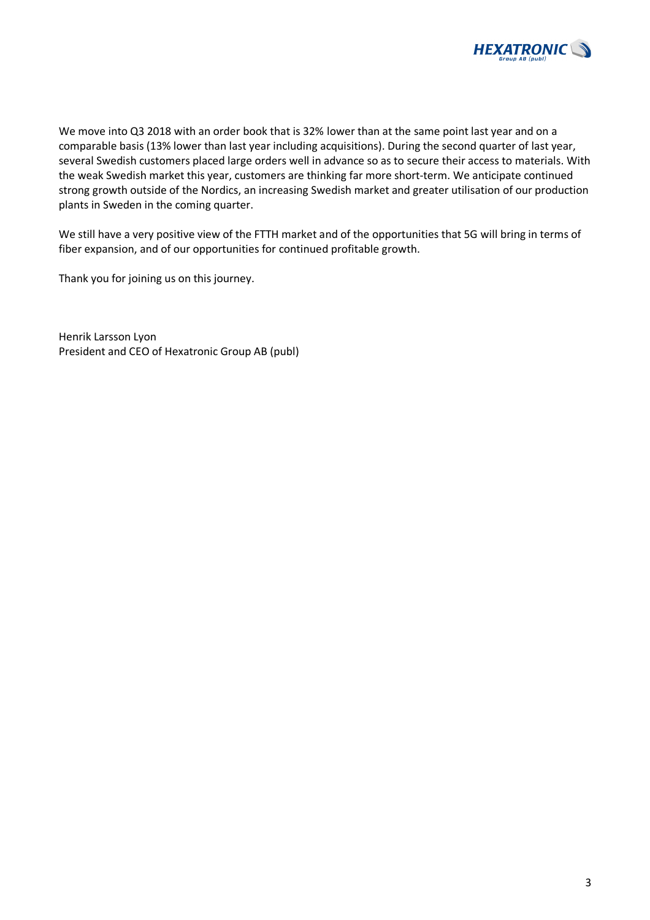

We move into Q3 2018 with an order book that is 32% lower than at the same point last year and on a comparable basis (13% lower than last year including acquisitions). During the second quarter of last year, several Swedish customers placed large orders well in advance so as to secure their access to materials. With the weak Swedish market this year, customers are thinking far more short-term. We anticipate continued strong growth outside of the Nordics, an increasing Swedish market and greater utilisation of our production plants in Sweden in the coming quarter.

We still have a very positive view of the FTTH market and of the opportunities that 5G will bring in terms of fiber expansion, and of our opportunities for continued profitable growth.

Thank you for joining us on this journey.

Henrik Larsson Lyon President and CEO of Hexatronic Group AB (publ)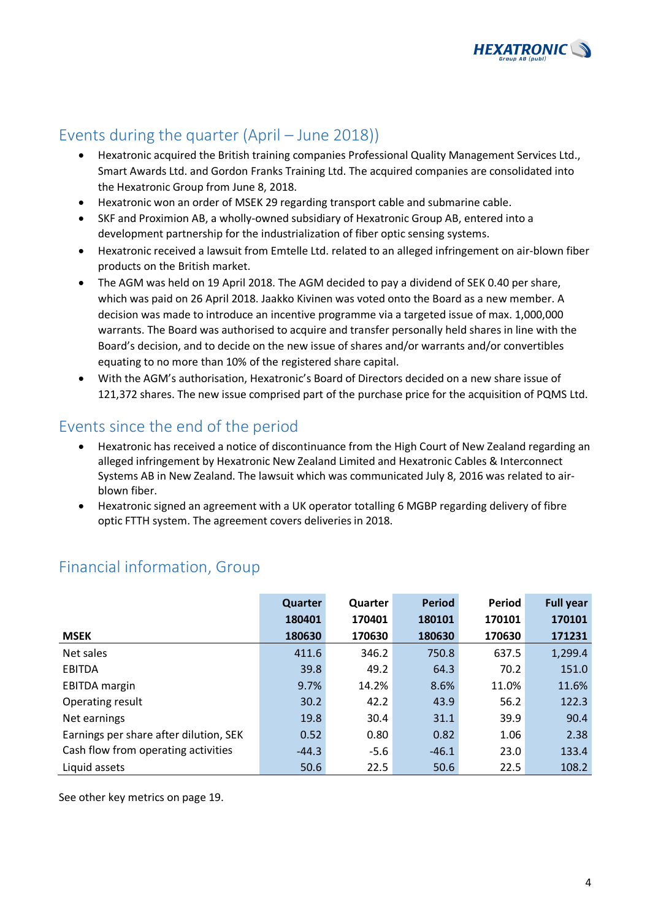

# Events during the quarter (April – June 2018))

- Hexatronic acquired the British training companies Professional Quality Management Services Ltd., Smart Awards Ltd. and Gordon Franks Training Ltd. The acquired companies are consolidated into the Hexatronic Group from June 8, 2018.
- Hexatronic won an order of MSEK 29 regarding transport cable and submarine cable.
- SKF and Proximion AB, a wholly-owned subsidiary of Hexatronic Group AB, entered into a development partnership for the industrialization of fiber optic sensing systems.
- Hexatronic received a lawsuit from Emtelle Ltd. related to an alleged infringement on air-blown fiber products on the British market.
- The AGM was held on 19 April 2018. The AGM decided to pay a dividend of SEK 0.40 per share, which was paid on 26 April 2018. Jaakko Kivinen was voted onto the Board as a new member. A decision was made to introduce an incentive programme via a targeted issue of max. 1,000,000 warrants. The Board was authorised to acquire and transfer personally held shares in line with the Board's decision, and to decide on the new issue of shares and/or warrants and/or convertibles equating to no more than 10% of the registered share capital.
- With the AGM's authorisation, Hexatronic's Board of Directors decided on a new share issue of 121,372 shares. The new issue comprised part of the purchase price for the acquisition of PQMS Ltd.

# Events since the end of the period

- Hexatronic has received a notice of discontinuance from the High Court of New Zealand regarding an alleged infringement by Hexatronic New Zealand Limited and Hexatronic Cables & Interconnect Systems AB in New Zealand. The lawsuit which was communicated July 8, 2016 was related to airblown fiber.
- Hexatronic signed an agreement with a UK operator totalling 6 MGBP regarding delivery of fibre optic FTTH system. The agreement covers deliveries in 2018.

|                                        | Quarter | <b>Quarter</b> | <b>Period</b> | <b>Period</b> | <b>Full year</b> |
|----------------------------------------|---------|----------------|---------------|---------------|------------------|
|                                        | 180401  | 170401         | 180101        | 170101        | 170101           |
| <b>MSEK</b>                            | 180630  | 170630         | 180630        | 170630        | 171231           |
| Net sales                              | 411.6   | 346.2          | 750.8         | 637.5         | 1,299.4          |
| <b>EBITDA</b>                          | 39.8    | 49.2           | 64.3          | 70.2          | 151.0            |
| <b>EBITDA</b> margin                   | 9.7%    | 14.2%          | 8.6%          | 11.0%         | 11.6%            |
| Operating result                       | 30.2    | 42.2           | 43.9          | 56.2          | 122.3            |
| Net earnings                           | 19.8    | 30.4           | 31.1          | 39.9          | 90.4             |
| Earnings per share after dilution, SEK | 0.52    | 0.80           | 0.82          | 1.06          | 2.38             |
| Cash flow from operating activities    | $-44.3$ | $-5.6$         | $-46.1$       | 23.0          | 133.4            |
| Liquid assets                          | 50.6    | 22.5           | 50.6          | 22.5          | 108.2            |

# Financial information, Group

See other key metrics on page 19.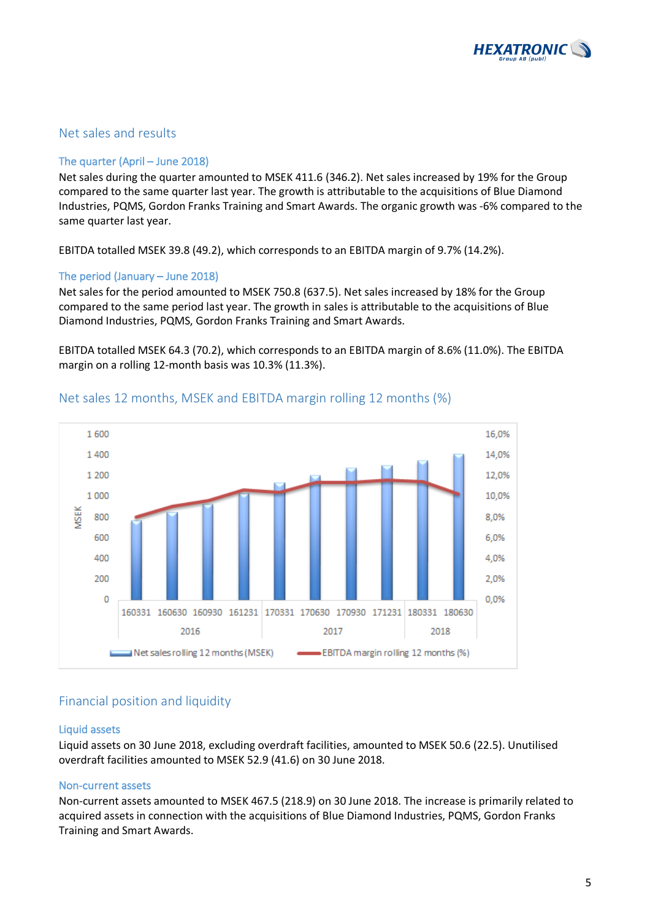

### Net sales and results

### The quarter (April – June 2018)

Net sales during the quarter amounted to MSEK 411.6 (346.2). Net sales increased by 19% for the Group compared to the same quarter last year. The growth is attributable to the acquisitions of Blue Diamond Industries, PQMS, Gordon Franks Training and Smart Awards. The organic growth was -6% compared to the same quarter last year.

EBITDA totalled MSEK 39.8 (49.2), which corresponds to an EBITDA margin of 9.7% (14.2%).

### The period (January – June 2018)

Net sales for the period amounted to MSEK 750.8 (637.5). Net sales increased by 18% for the Group compared to the same period last year. The growth in sales is attributable to the acquisitions of Blue Diamond Industries, PQMS, Gordon Franks Training and Smart Awards.

EBITDA totalled MSEK 64.3 (70.2), which corresponds to an EBITDA margin of 8.6% (11.0%). The EBITDA margin on a rolling 12-month basis was 10.3% (11.3%).



### Net sales 12 months, MSEK and EBITDA margin rolling 12 months (%)

### Financial position and liquidity

#### Liquid assets

Liquid assets on 30 June 2018, excluding overdraft facilities, amounted to MSEK 50.6 (22.5). Unutilised overdraft facilities amounted to MSEK 52.9 (41.6) on 30 June 2018.

### Non-current assets

Non-current assets amounted to MSEK 467.5 (218.9) on 30 June 2018. The increase is primarily related to acquired assets in connection with the acquisitions of Blue Diamond Industries, PQMS, Gordon Franks Training and Smart Awards.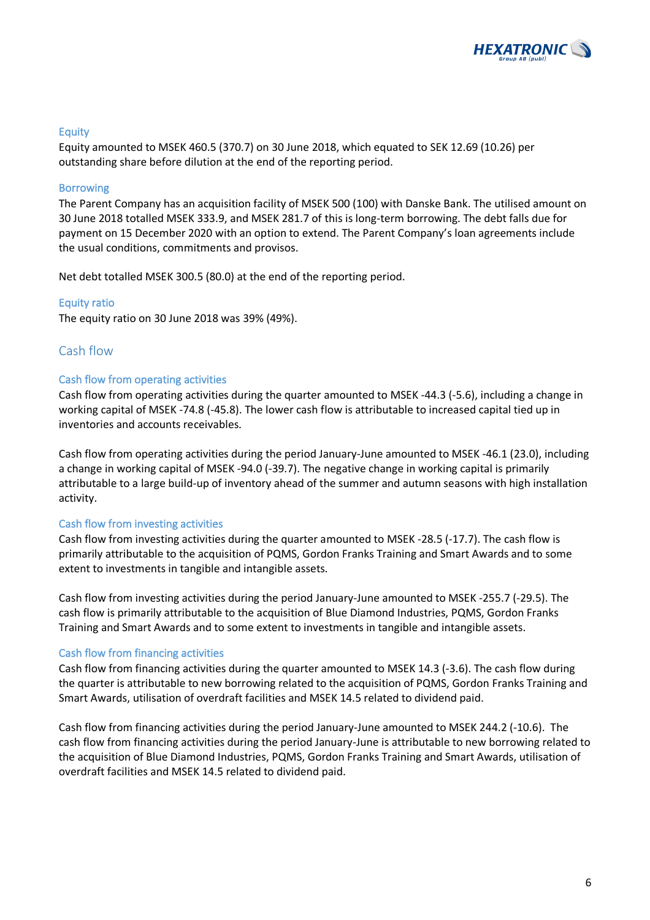

### Equity

Equity amounted to MSEK 460.5 (370.7) on 30 June 2018, which equated to SEK 12.69 (10.26) per outstanding share before dilution at the end of the reporting period.

#### Borrowing

The Parent Company has an acquisition facility of MSEK 500 (100) with Danske Bank. The utilised amount on 30 June 2018 totalled MSEK 333.9, and MSEK 281.7 of this is long-term borrowing. The debt falls due for payment on 15 December 2020 with an option to extend. The Parent Company's loan agreements include the usual conditions, commitments and provisos.

Net debt totalled MSEK 300.5 (80.0) at the end of the reporting period.

#### Equity ratio

The equity ratio on 30 June 2018 was 39% (49%).

### Cash flow

#### Cash flow from operating activities

Cash flow from operating activities during the quarter amounted to MSEK -44.3 (-5.6), including a change in working capital of MSEK -74.8 (-45.8). The lower cash flow is attributable to increased capital tied up in inventories and accounts receivables.

Cash flow from operating activities during the period January-June amounted to MSEK -46.1 (23.0), including a change in working capital of MSEK -94.0 (-39.7). The negative change in working capital is primarily attributable to a large build-up of inventory ahead of the summer and autumn seasons with high installation activity.

#### Cash flow from investing activities

Cash flow from investing activities during the quarter amounted to MSEK -28.5 (-17.7). The cash flow is primarily attributable to the acquisition of PQMS, Gordon Franks Training and Smart Awards and to some extent to investments in tangible and intangible assets.

Cash flow from investing activities during the period January-June amounted to MSEK -255.7 (-29.5). The cash flow is primarily attributable to the acquisition of Blue Diamond Industries, PQMS, Gordon Franks Training and Smart Awards and to some extent to investments in tangible and intangible assets.

#### Cash flow from financing activities

Cash flow from financing activities during the quarter amounted to MSEK 14.3 (-3.6). The cash flow during the quarter is attributable to new borrowing related to the acquisition of PQMS, Gordon Franks Training and Smart Awards, utilisation of overdraft facilities and MSEK 14.5 related to dividend paid.

Cash flow from financing activities during the period January-June amounted to MSEK 244.2 (-10.6). The cash flow from financing activities during the period January-June is attributable to new borrowing related to the acquisition of Blue Diamond Industries, PQMS, Gordon Franks Training and Smart Awards, utilisation of overdraft facilities and MSEK 14.5 related to dividend paid.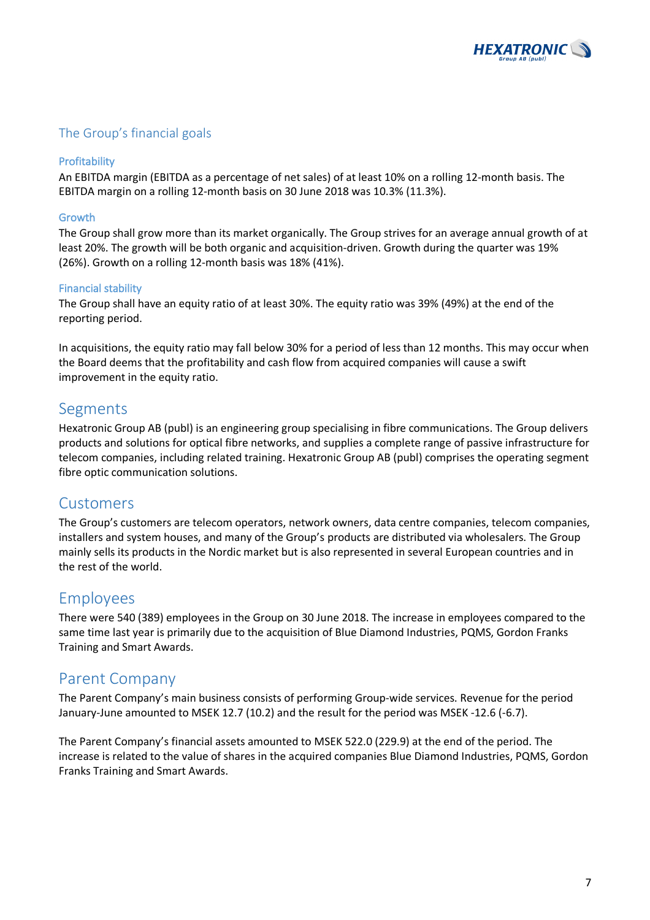

### The Group's financial goals

### Profitability

An EBITDA margin (EBITDA as a percentage of net sales) of at least 10% on a rolling 12-month basis. The EBITDA margin on a rolling 12-month basis on 30 June 2018 was 10.3% (11.3%).

### Growth

The Group shall grow more than its market organically. The Group strives for an average annual growth of at least 20%. The growth will be both organic and acquisition-driven. Growth during the quarter was 19% (26%). Growth on a rolling 12-month basis was 18% (41%).

### Financial stability

The Group shall have an equity ratio of at least 30%. The equity ratio was 39% (49%) at the end of the reporting period.

In acquisitions, the equity ratio may fall below 30% for a period of less than 12 months. This may occur when the Board deems that the profitability and cash flow from acquired companies will cause a swift improvement in the equity ratio.

### Segments

Hexatronic Group AB (publ) is an engineering group specialising in fibre communications. The Group delivers products and solutions for optical fibre networks, and supplies a complete range of passive infrastructure for telecom companies, including related training. Hexatronic Group AB (publ) comprises the operating segment fibre optic communication solutions.

### Customers

The Group's customers are telecom operators, network owners, data centre companies, telecom companies, installers and system houses, and many of the Group's products are distributed via wholesalers. The Group mainly sells its products in the Nordic market but is also represented in several European countries and in the rest of the world.

### Employees

There were 540 (389) employees in the Group on 30 June 2018. The increase in employees compared to the same time last year is primarily due to the acquisition of Blue Diamond Industries, PQMS, Gordon Franks Training and Smart Awards.

### Parent Company

The Parent Company's main business consists of performing Group-wide services. Revenue for the period January-June amounted to MSEK 12.7 (10.2) and the result for the period was MSEK -12.6 (-6.7).

The Parent Company's financial assets amounted to MSEK 522.0 (229.9) at the end of the period. The increase is related to the value of shares in the acquired companies Blue Diamond Industries, PQMS, Gordon Franks Training and Smart Awards.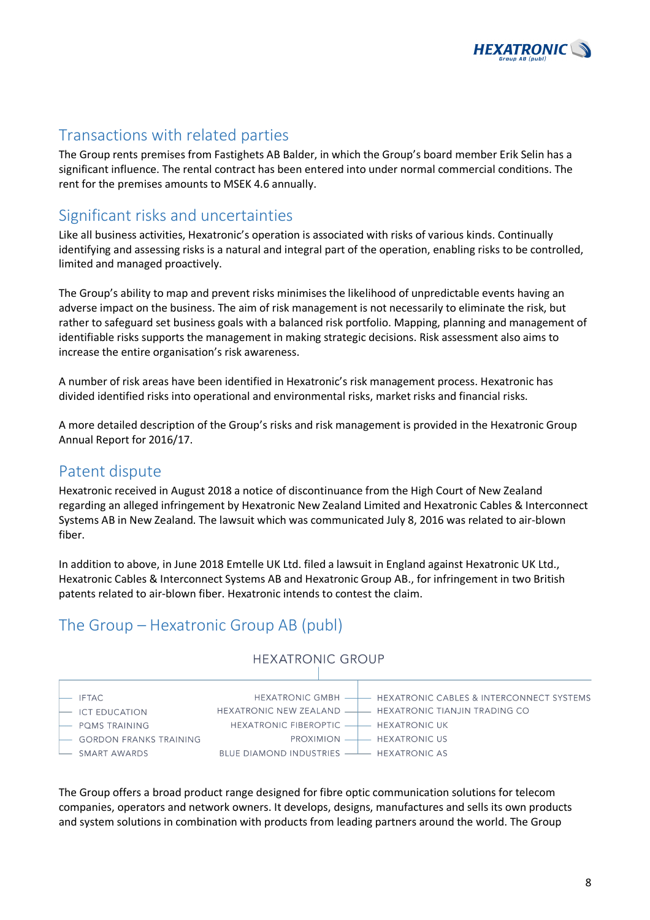

### Transactions with related parties

The Group rents premises from Fastighets AB Balder, in which the Group's board member Erik Selin has a significant influence. The rental contract has been entered into under normal commercial conditions. The rent for the premises amounts to MSEK 4.6 annually.

## Significant risks and uncertainties

Like all business activities, Hexatronic's operation is associated with risks of various kinds. Continually identifying and assessing risks is a natural and integral part of the operation, enabling risks to be controlled, limited and managed proactively.

The Group's ability to map and prevent risks minimises the likelihood of unpredictable events having an adverse impact on the business. The aim of risk management is not necessarily to eliminate the risk, but rather to safeguard set business goals with a balanced risk portfolio. Mapping, planning and management of identifiable risks supports the management in making strategic decisions. Risk assessment also aims to increase the entire organisation's risk awareness.

A number of risk areas have been identified in Hexatronic's risk management process. Hexatronic has divided identified risks into operational and environmental risks, market risks and financial risks.

A more detailed description of the Group's risks and risk management is provided in the Hexatronic Group Annual Report for 2016/17.

### Patent dispute

Hexatronic received in August 2018 a notice of discontinuance from the High Court of New Zealand regarding an alleged infringement by Hexatronic New Zealand Limited and Hexatronic Cables & Interconnect Systems AB in New Zealand. The lawsuit which was communicated July 8, 2016 was related to air-blown fiber.

In addition to above, in June 2018 Emtelle UK Ltd. filed a lawsuit in England against Hexatronic UK Ltd., Hexatronic Cables & Interconnect Systems AB and Hexatronic Group AB., for infringement in two British patents related to air-blown fiber. Hexatronic intends to contest the claim.

# The Group – Hexatronic Group AB (publ)



**HEXATRONIC GROUP** 

The Group offers a broad product range designed for fibre optic communication solutions for telecom companies, operators and network owners. It develops, designs, manufactures and sells its own products and system solutions in combination with products from leading partners around the world. The Group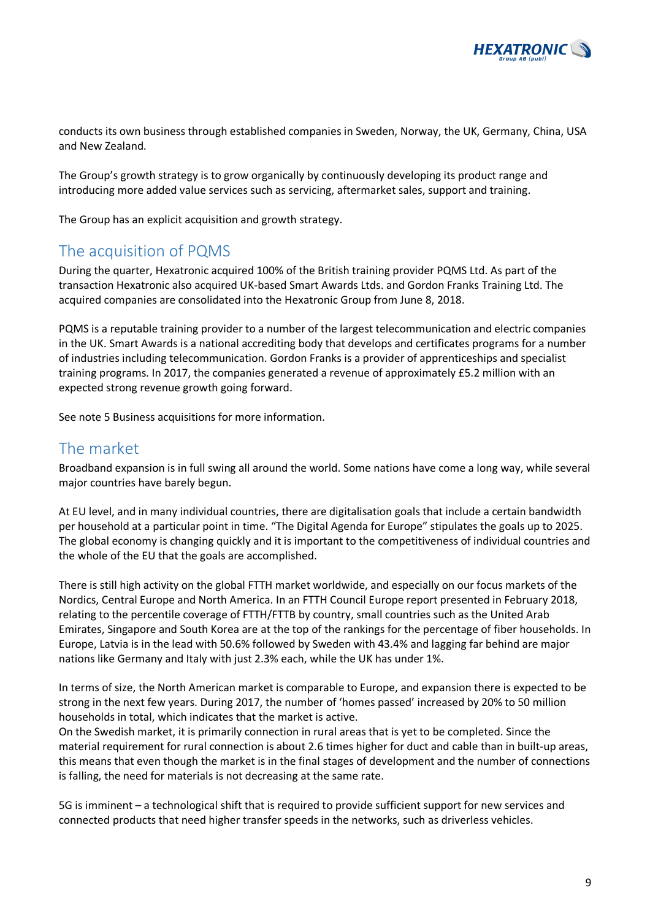

conducts its own business through established companies in Sweden, Norway, the UK, Germany, China, USA and New Zealand.

The Group's growth strategy is to grow organically by continuously developing its product range and introducing more added value services such as servicing, aftermarket sales, support and training.

The Group has an explicit acquisition and growth strategy.

### The acquisition of PQMS

During the quarter, Hexatronic acquired 100% of the British training provider PQMS Ltd. As part of the transaction Hexatronic also acquired UK-based Smart Awards Ltds. and Gordon Franks Training Ltd. The acquired companies are consolidated into the Hexatronic Group from June 8, 2018.

PQMS is a reputable training provider to a number of the largest telecommunication and electric companies in the UK. Smart Awards is a national accrediting body that develops and certificates programs for a number of industries including telecommunication. Gordon Franks is a provider of apprenticeships and specialist training programs. In 2017, the companies generated a revenue of approximately £5.2 million with an expected strong revenue growth going forward.

See note 5 Business acquisitions for more information.

### The market

Broadband expansion is in full swing all around the world. Some nations have come a long way, while several major countries have barely begun.

At EU level, and in many individual countries, there are digitalisation goals that include a certain bandwidth per household at a particular point in time. "The Digital Agenda for Europe" stipulates the goals up to 2025. The global economy is changing quickly and it is important to the competitiveness of individual countries and the whole of the EU that the goals are accomplished.

There is still high activity on the global FTTH market worldwide, and especially on our focus markets of the Nordics, Central Europe and North America. In an FTTH Council Europe report presented in February 2018, relating to the percentile coverage of FTTH/FTTB by country, small countries such as the United Arab Emirates, Singapore and South Korea are at the top of the rankings for the percentage of fiber households. In Europe, Latvia is in the lead with 50.6% followed by Sweden with 43.4% and lagging far behind are major nations like Germany and Italy with just 2.3% each, while the UK has under 1%.

In terms of size, the North American market is comparable to Europe, and expansion there is expected to be strong in the next few years. During 2017, the number of 'homes passed' increased by 20% to 50 million households in total, which indicates that the market is active.

On the Swedish market, it is primarily connection in rural areas that is yet to be completed. Since the material requirement for rural connection is about 2.6 times higher for duct and cable than in built-up areas, this means that even though the market is in the final stages of development and the number of connections is falling, the need for materials is not decreasing at the same rate.

5G is imminent – a technological shift that is required to provide sufficient support for new services and connected products that need higher transfer speeds in the networks, such as driverless vehicles.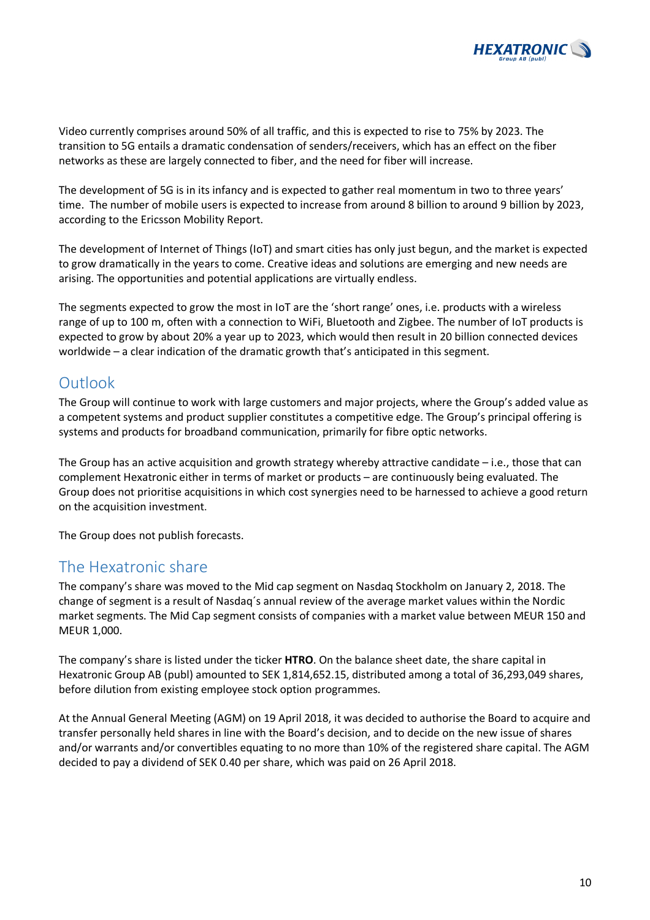

Video currently comprises around 50% of all traffic, and this is expected to rise to 75% by 2023. The transition to 5G entails a dramatic condensation of senders/receivers, which has an effect on the fiber networks as these are largely connected to fiber, and the need for fiber will increase.

The development of 5G is in its infancy and is expected to gather real momentum in two to three years' time. The number of mobile users is expected to increase from around 8 billion to around 9 billion by 2023, according to the Ericsson Mobility Report.

The development of Internet of Things (IoT) and smart cities has only just begun, and the market is expected to grow dramatically in the years to come. Creative ideas and solutions are emerging and new needs are arising. The opportunities and potential applications are virtually endless.

The segments expected to grow the most in IoT are the 'short range' ones, i.e. products with a wireless range of up to 100 m, often with a connection to WiFi, Bluetooth and Zigbee. The number of IoT products is expected to grow by about 20% a year up to 2023, which would then result in 20 billion connected devices worldwide – a clear indication of the dramatic growth that's anticipated in this segment.

### Outlook

The Group will continue to work with large customers and major projects, where the Group's added value as a competent systems and product supplier constitutes a competitive edge. The Group's principal offering is systems and products for broadband communication, primarily for fibre optic networks.

The Group has an active acquisition and growth strategy whereby attractive candidate  $-i.e.,$  those that can complement Hexatronic either in terms of market or products – are continuously being evaluated. The Group does not prioritise acquisitions in which cost synergies need to be harnessed to achieve a good return on the acquisition investment.

The Group does not publish forecasts.

### The Hexatronic share

The company's share was moved to the Mid cap segment on Nasdaq Stockholm on January 2, 2018. The change of segment is a result of Nasdaq´s annual review of the average market values within the Nordic market segments. The Mid Cap segment consists of companies with a market value between MEUR 150 and MEUR 1,000.

The company's share is listed under the ticker **HTRO**. On the balance sheet date, the share capital in Hexatronic Group AB (publ) amounted to SEK 1,814,652.15, distributed among a total of 36,293,049 shares, before dilution from existing employee stock option programmes.

At the Annual General Meeting (AGM) on 19 April 2018, it was decided to authorise the Board to acquire and transfer personally held shares in line with the Board's decision, and to decide on the new issue of shares and/or warrants and/or convertibles equating to no more than 10% of the registered share capital. The AGM decided to pay a dividend of SEK 0.40 per share, which was paid on 26 April 2018.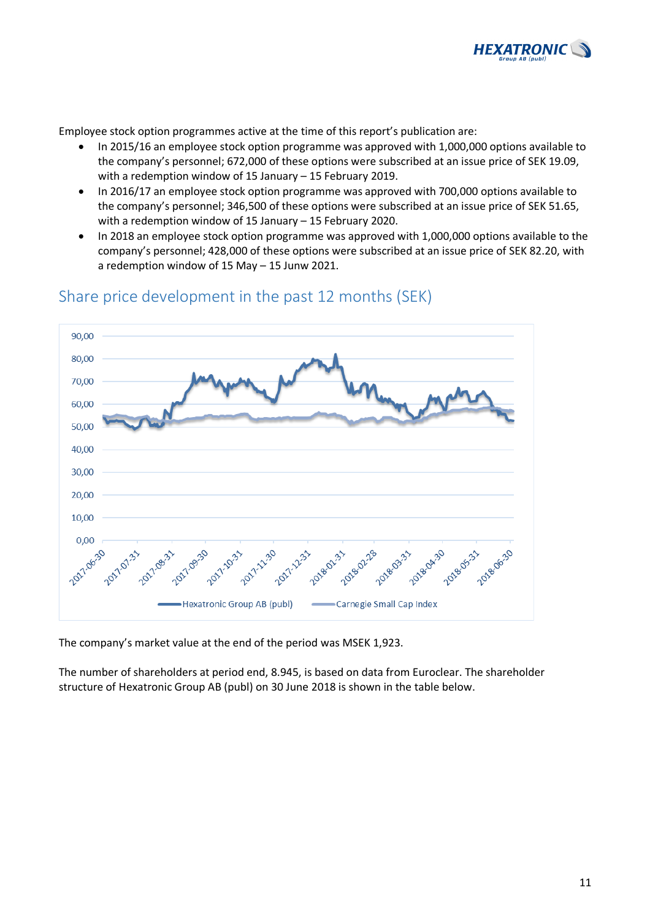

Employee stock option programmes active at the time of this report's publication are:

- In 2015/16 an employee stock option programme was approved with 1,000,000 options available to the company's personnel; 672,000 of these options were subscribed at an issue price of SEK 19.09, with a redemption window of 15 January – 15 February 2019.
- In 2016/17 an employee stock option programme was approved with 700,000 options available to the company's personnel; 346,500 of these options were subscribed at an issue price of SEK 51.65, with a redemption window of 15 January – 15 February 2020.
- In 2018 an employee stock option programme was approved with 1,000,000 options available to the company's personnel; 428,000 of these options were subscribed at an issue price of SEK 82.20, with a redemption window of 15 May – 15 Junw 2021.



### Share price development in the past 12 months (SEK)

The company's market value at the end of the period was MSEK 1,923.

The number of shareholders at period end, 8.945, is based on data from Euroclear. The shareholder structure of Hexatronic Group AB (publ) on 30 June 2018 is shown in the table below.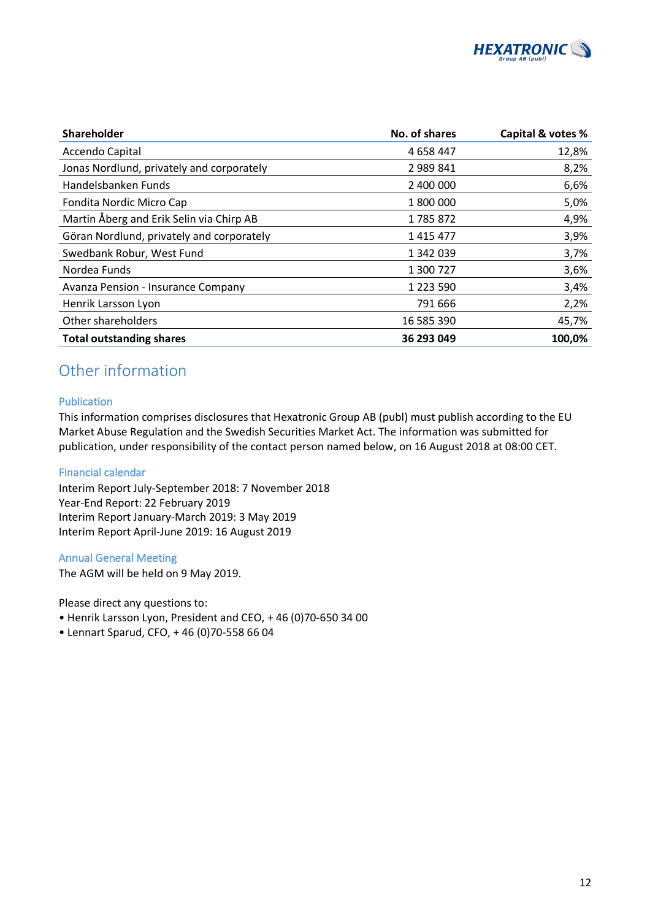

| Shareholder                               | No. of shares | Capital & votes % |
|-------------------------------------------|---------------|-------------------|
| Accendo Capital                           | 4 6 58 4 47   | 12,8%             |
| Jonas Nordlund, privately and corporately | 2 989 841     | 8,2%              |
| Handelsbanken Funds                       | 2 400 000     | 6,6%              |
| Fondita Nordic Micro Cap                  | 1 800 000     | 5,0%              |
| Martin Åberg and Erik Selin via Chirp AB  | 1785872       | 4,9%              |
| Göran Nordlund, privately and corporately | 1415477       | 3,9%              |
| Swedbank Robur, West Fund                 | 1 342 039     | 3,7%              |
| Nordea Funds                              | 1 300 727     | 3,6%              |
| Avanza Pension - Insurance Company        | 1 2 2 3 5 9 0 | 3,4%              |
| Henrik Larsson Lyon                       | 791 666       | 2,2%              |
| Other shareholders                        | 16 585 390    | 45,7%             |
| <b>Total outstanding shares</b>           | 36 293 049    | 100,0%            |

# Other information

### Publication

This information comprises disclosures that Hexatronic Group AB (publ) must publish according to the EU Market Abuse Regulation and the Swedish Securities Market Act. The information was submitted for publication, under responsibility of the contact person named below, on 16 August 2018 at 08:00 CET.

### Financial calendar

Interim Report July-September 2018: 7 November 2018 Year-End Report: 22 February 2019 Interim Report January-March 2019: 3 May 2019 Interim Report April-June 2019: 16 August 2019

### Annual General Meeting

The AGM will be held on 9 May 2019.

Please direct any questions to:

- Henrik Larsson Lyon, President and CEO, + 46 (0)70-650 34 00
- Lennart Sparud, CFO, + 46 (0)70-558 66 04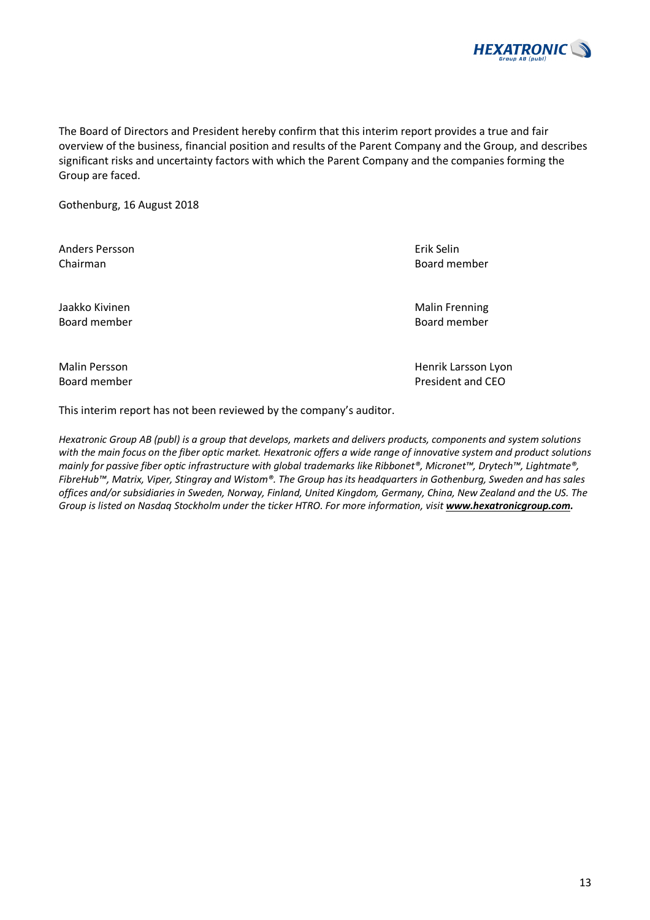

The Board of Directors and President hereby confirm that this interim report provides a true and fair overview of the business, financial position and results of the Parent Company and the Group, and describes significant risks and uncertainty factors with which the Parent Company and the companies forming the Group are faced.

Gothenburg, 16 August 2018

Anders Persson Erik Selin Chairman Board member

Board member Board member

Malin Persson North Henrik Larsson Lyon

This interim report has not been reviewed by the company's auditor.

*Hexatronic Group AB (publ) is a group that develops, markets and delivers products, components and system solutions with the main focus on the fiber optic market. Hexatronic offers a wide range of innovative system and product solutions mainly for passive fiber optic infrastructure with global trademarks like Ribbonet®, Micronet™, Drytech™, Lightmate®, FibreHub™, Matrix, Viper, Stingray and Wistom®. The Group has its headquarters in Gothenburg, Sweden and has sales offices and/or subsidiaries in Sweden, Norway, Finland, United Kingdom, Germany, China, New Zealand and the US. The Group is listed on Nasdaq Stockholm under the ticker HTRO. For more information, visit www.hexatronicgroup.com.*

Board member **Board member** President and CEO



Jaakko Kivinen Malin Frenning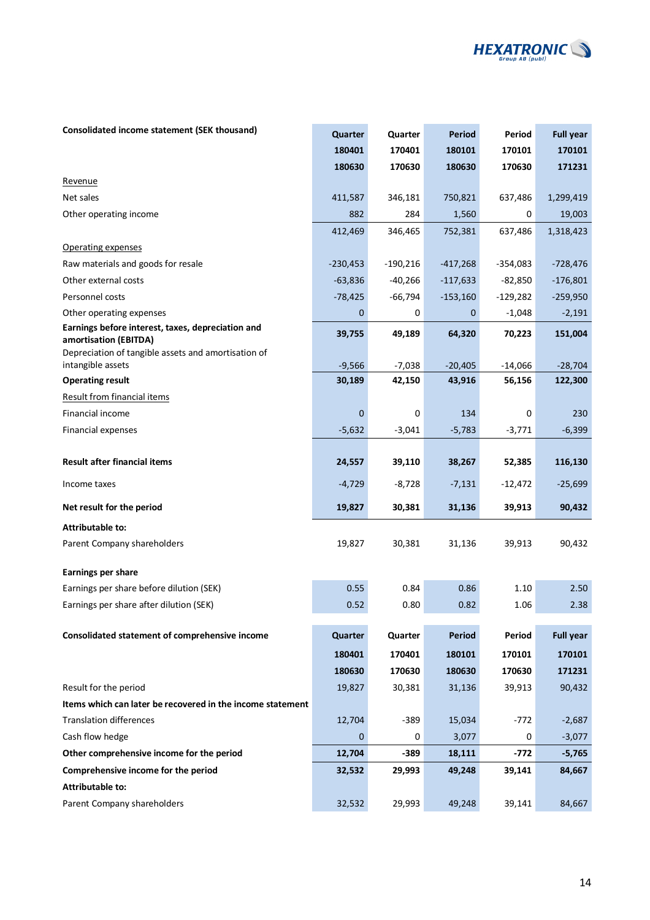

### **Consolidated income statement (SEK thousand) <b>Quarter Quarter Quarter Period Period Full year**

|                                                                            | 180401     | 170401     | 180101     | 170101     | 170101           |
|----------------------------------------------------------------------------|------------|------------|------------|------------|------------------|
|                                                                            | 180630     | 170630     | 180630     | 170630     | 171231           |
| Revenue                                                                    |            |            |            |            |                  |
| Net sales                                                                  | 411,587    | 346,181    | 750,821    | 637,486    | 1,299,419        |
| Other operating income                                                     | 882        | 284        | 1,560      | 0          | 19,003           |
|                                                                            | 412,469    | 346,465    | 752,381    | 637,486    | 1,318,423        |
| Operating expenses                                                         |            |            |            |            |                  |
| Raw materials and goods for resale                                         | $-230,453$ | $-190,216$ | $-417,268$ | $-354,083$ | $-728,476$       |
| Other external costs                                                       | $-63,836$  | $-40,266$  | $-117,633$ | $-82,850$  | $-176,801$       |
| Personnel costs                                                            | $-78,425$  | $-66,794$  | $-153,160$ | $-129,282$ | $-259,950$       |
| Other operating expenses                                                   | 0          | 0          | 0          | $-1,048$   | $-2,191$         |
| Earnings before interest, taxes, depreciation and<br>amortisation (EBITDA) | 39,755     | 49,189     | 64,320     | 70,223     | 151,004          |
| Depreciation of tangible assets and amortisation of<br>intangible assets   | $-9,566$   | $-7,038$   | $-20,405$  | $-14,066$  | $-28,704$        |
| <b>Operating result</b>                                                    | 30,189     | 42,150     | 43,916     | 56,156     | 122,300          |
| <b>Result from financial items</b>                                         |            |            |            |            |                  |
| Financial income                                                           | 0          | 0          | 134        | 0          | 230              |
| <b>Financial expenses</b>                                                  | $-5,632$   | $-3,041$   | $-5,783$   | $-3,771$   | $-6,399$         |
|                                                                            |            |            |            |            |                  |
| <b>Result after financial items</b>                                        | 24,557     | 39,110     | 38,267     | 52,385     | 116,130          |
| Income taxes                                                               | $-4,729$   | $-8,728$   | $-7,131$   | $-12,472$  | $-25,699$        |
| Net result for the period                                                  | 19,827     | 30,381     | 31,136     | 39,913     | 90,432           |
| Attributable to:                                                           |            |            |            |            |                  |
| Parent Company shareholders                                                | 19,827     | 30,381     | 31,136     | 39,913     | 90,432           |
| Earnings per share                                                         |            |            |            |            |                  |
| Earnings per share before dilution (SEK)                                   | 0.55       | 0.84       | 0.86       | 1.10       | 2.50             |
| Earnings per share after dilution (SEK)                                    | 0.52       | 0.80       | 0.82       | 1.06       | 2.38             |
|                                                                            |            |            |            |            |                  |
| Consolidated statement of comprehensive income                             | Quarter    | Quarter    | Period     | Period     | <b>Full year</b> |
|                                                                            | 180401     | 170401     | 180101     | 170101     | 170101           |
|                                                                            | 180630     | 170630     | 180630     | 170630     | 171231           |
| Result for the period                                                      | 19,827     | 30,381     | 31,136     | 39,913     | 90,432           |
| Items which can later be recovered in the income statement                 |            |            |            |            |                  |
| <b>Translation differences</b>                                             | 12,704     | $-389$     | 15,034     | $-772$     | $-2,687$         |
| Cash flow hedge                                                            | 0          | 0          | 3,077      | 0          | $-3,077$         |
| Other comprehensive income for the period                                  | 12,704     | $-389$     | 18,111     | -772       | $-5,765$         |
| Comprehensive income for the period                                        | 32,532     | 29,993     | 49,248     | 39,141     | 84,667           |
| <b>Attributable to:</b>                                                    |            |            |            |            |                  |
| Parent Company shareholders                                                | 32,532     | 29,993     | 49,248     | 39,141     | 84,667           |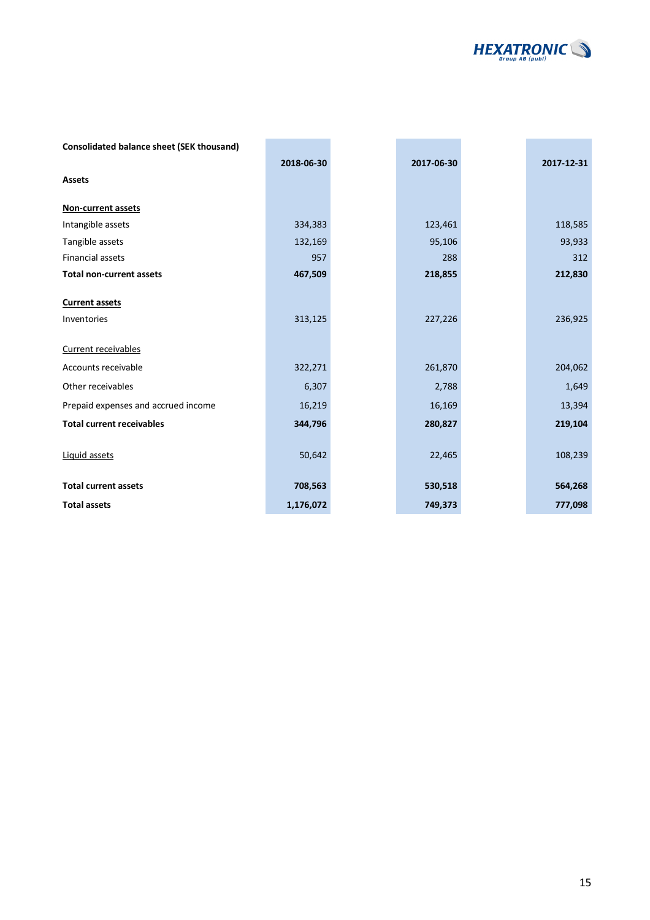

| <b>Consolidated balance sheet (SEK thousand)</b> |            |            |            |
|--------------------------------------------------|------------|------------|------------|
|                                                  | 2018-06-30 | 2017-06-30 | 2017-12-31 |
| <b>Assets</b>                                    |            |            |            |
| <b>Non-current assets</b>                        |            |            |            |
| Intangible assets                                | 334,383    | 123,461    | 118,585    |
| Tangible assets                                  | 132,169    | 95,106     | 93,933     |
| <b>Financial assets</b>                          | 957        | 288        | 312        |
| <b>Total non-current assets</b>                  | 467,509    | 218,855    | 212,830    |
| <b>Current assets</b><br>Inventories             | 313,125    | 227,226    | 236,925    |
| Current receivables                              |            |            |            |
| Accounts receivable                              | 322,271    | 261,870    | 204,062    |
| Other receivables                                | 6,307      | 2,788      | 1,649      |
| Prepaid expenses and accrued income              | 16,219     | 16,169     | 13,394     |
| <b>Total current receivables</b>                 | 344,796    | 280,827    | 219,104    |
| Liquid assets                                    | 50,642     | 22,465     | 108,239    |
| <b>Total current assets</b>                      | 708,563    | 530,518    | 564,268    |
| <b>Total assets</b>                              | 1,176,072  | 749,373    | 777,098    |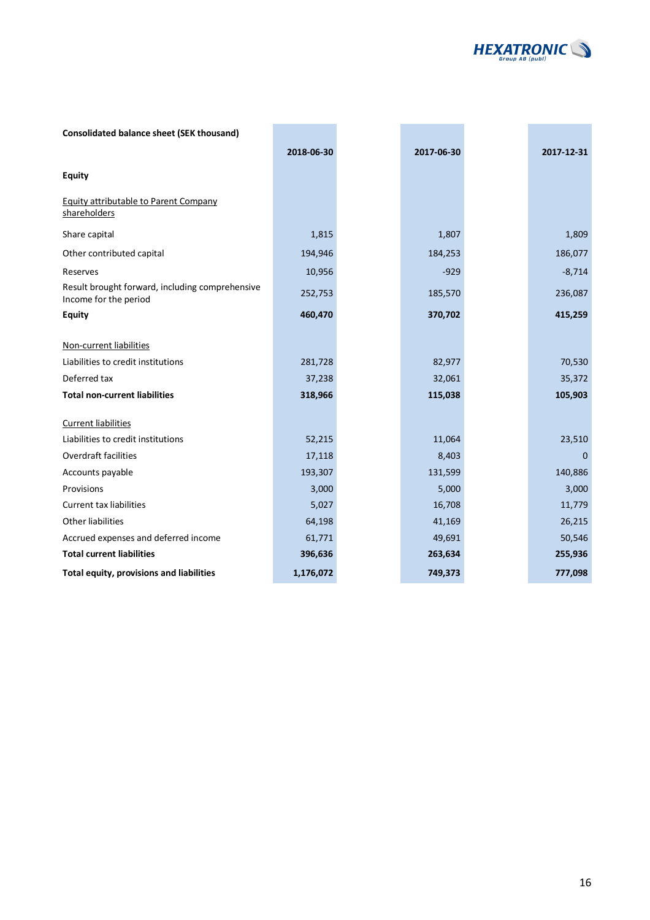

| <b>Consolidated balance sheet (SEK thousand)</b>                         |            |            |             |
|--------------------------------------------------------------------------|------------|------------|-------------|
|                                                                          | 2018-06-30 | 2017-06-30 | 2017-12-31  |
| <b>Equity</b>                                                            |            |            |             |
| <b>Equity attributable to Parent Company</b><br>shareholders             |            |            |             |
| Share capital                                                            | 1,815      | 1,807      | 1,809       |
| Other contributed capital                                                | 194,946    | 184,253    | 186,077     |
| Reserves                                                                 | 10,956     | $-929$     | $-8,714$    |
| Result brought forward, including comprehensive<br>Income for the period | 252,753    | 185,570    | 236,087     |
| <b>Equity</b>                                                            | 460,470    | 370,702    | 415,259     |
|                                                                          |            |            |             |
| Non-current liabilities                                                  |            |            |             |
| Liabilities to credit institutions                                       | 281,728    | 82,977     | 70,530      |
| Deferred tax                                                             | 37,238     | 32,061     | 35,372      |
| <b>Total non-current liabilities</b>                                     | 318,966    | 115,038    | 105,903     |
| <b>Current liabilities</b>                                               |            |            |             |
| Liabilities to credit institutions                                       | 52,215     | 11,064     | 23,510      |
| Overdraft facilities                                                     | 17,118     | 8,403      | $\mathbf 0$ |
| Accounts payable                                                         | 193,307    | 131,599    | 140,886     |
| Provisions                                                               | 3,000      | 5,000      | 3,000       |
| <b>Current tax liabilities</b>                                           | 5,027      | 16,708     | 11,779      |
| Other liabilities                                                        | 64,198     | 41,169     | 26,215      |
| Accrued expenses and deferred income                                     | 61,771     | 49,691     | 50,546      |
| <b>Total current liabilities</b>                                         | 396,636    | 263,634    | 255,936     |
| Total equity, provisions and liabilities                                 | 1,176,072  | 749,373    | 777,098     |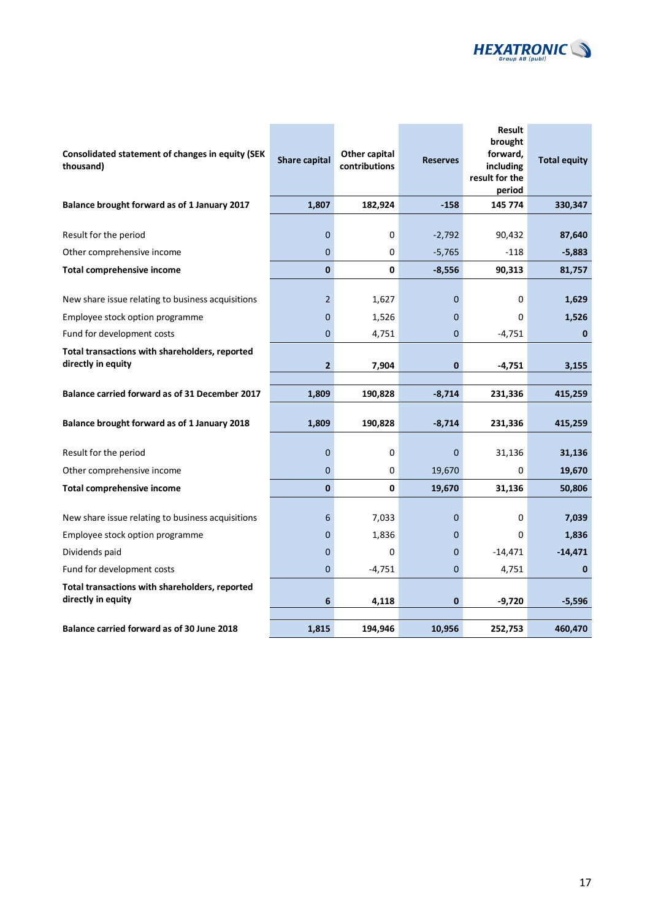

| Consolidated statement of changes in equity (SEK<br>thousand)                        | <b>Share capital</b> | Other capital<br>contributions | <b>Reserves</b> | <b>Result</b><br>brought<br>forward,<br>including<br>result for the<br>period | <b>Total equity</b> |
|--------------------------------------------------------------------------------------|----------------------|--------------------------------|-----------------|-------------------------------------------------------------------------------|---------------------|
| Balance brought forward as of 1 January 2017                                         | 1,807                | 182,924                        | $-158$          | 145 774                                                                       | 330,347             |
| Result for the period                                                                | 0                    | 0                              | $-2,792$        | 90,432                                                                        | 87,640              |
| Other comprehensive income                                                           | 0                    | 0                              | $-5,765$        | $-118$                                                                        | $-5,883$            |
| <b>Total comprehensive income</b>                                                    | $\mathbf{0}$         | 0                              | $-8,556$        | 90,313                                                                        | 81,757              |
| New share issue relating to business acquisitions<br>Employee stock option programme | 2<br>0               | 1,627<br>1,526                 | 0<br>0          | 0<br>0                                                                        | 1,629<br>1,526      |
| Fund for development costs                                                           | 0                    | 4,751                          | 0               | $-4,751$                                                                      | $\mathbf 0$         |
| Total transactions with shareholders, reported<br>directly in equity                 | 2                    | 7,904                          | 0               | $-4,751$                                                                      | 3,155               |
| Balance carried forward as of 31 December 2017                                       | 1,809                | 190,828                        | $-8,714$        | 231,336                                                                       | 415,259             |
| Balance brought forward as of 1 January 2018                                         | 1,809                | 190,828                        | $-8,714$        | 231,336                                                                       | 415,259             |
| Result for the period                                                                | 0                    | 0                              | $\Omega$        | 31,136                                                                        | 31,136              |
| Other comprehensive income                                                           | 0                    | 0                              | 19,670          | 0                                                                             | 19,670              |
| <b>Total comprehensive income</b>                                                    | $\mathbf{0}$         | 0                              | 19,670          | 31,136                                                                        | 50,806              |
| New share issue relating to business acquisitions                                    | 6                    | 7,033                          | 0               | 0                                                                             | 7,039               |
| Employee stock option programme                                                      | 0                    | 1,836                          | 0               | 0                                                                             | 1,836               |
| Dividends paid                                                                       | $\overline{0}$       | 0                              | 0               | $-14,471$                                                                     | $-14,471$           |
| Fund for development costs                                                           | 0                    | $-4,751$                       | $\Omega$        | 4,751                                                                         | 0                   |
| Total transactions with shareholders, reported<br>directly in equity                 | 6                    | 4,118                          | 0               | $-9,720$                                                                      | $-5,596$            |
| <b>Balance carried forward as of 30 June 2018</b>                                    | 1,815                | 194,946                        | 10,956          | 252,753                                                                       | 460,470             |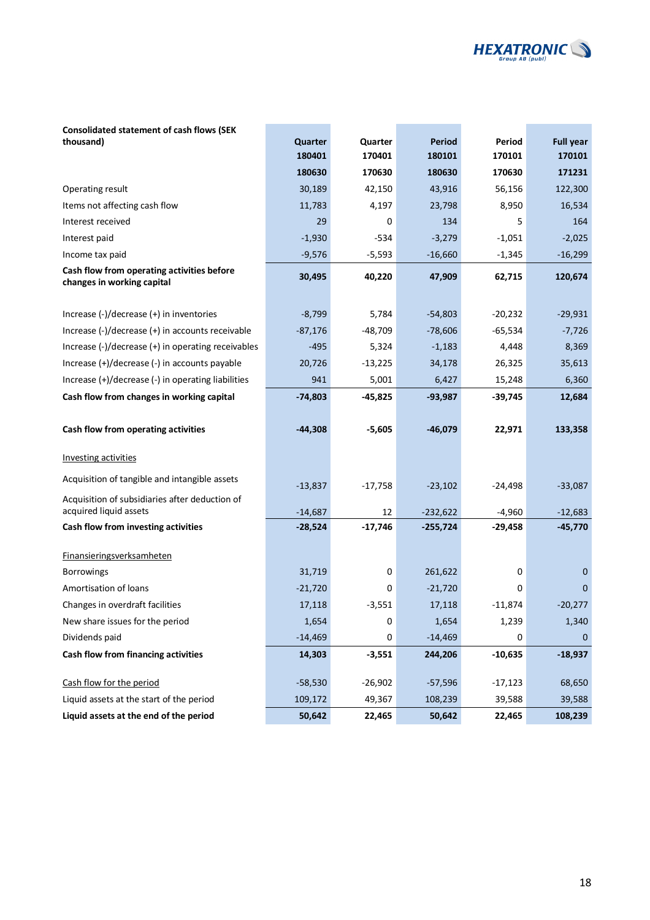

| Consolidated statement of cash flows (SEK                                |           |           |               |           |                  |
|--------------------------------------------------------------------------|-----------|-----------|---------------|-----------|------------------|
| thousand)                                                                | Quarter   | Quarter   | <b>Period</b> | Period    | <b>Full year</b> |
|                                                                          | 180401    | 170401    | 180101        | 170101    | 170101           |
|                                                                          | 180630    | 170630    | 180630        | 170630    | 171231           |
| Operating result                                                         | 30,189    | 42,150    | 43,916        | 56,156    | 122,300          |
| Items not affecting cash flow                                            | 11,783    | 4,197     | 23,798        | 8,950     | 16,534           |
| Interest received                                                        | 29        | 0         | 134           | 5         | 164              |
| Interest paid                                                            | $-1,930$  | $-534$    | $-3,279$      | $-1,051$  | $-2,025$         |
| Income tax paid                                                          | $-9,576$  | $-5,593$  | $-16,660$     | $-1,345$  | $-16,299$        |
| Cash flow from operating activities before<br>changes in working capital | 30,495    | 40,220    | 47,909        | 62,715    | 120,674          |
| Increase (-)/decrease (+) in inventories                                 | $-8,799$  | 5,784     | $-54,803$     | $-20,232$ | $-29,931$        |
| Increase (-)/decrease (+) in accounts receivable                         | $-87,176$ | $-48,709$ | $-78,606$     | $-65,534$ | $-7,726$         |
| Increase (-)/decrease (+) in operating receivables                       | $-495$    | 5,324     | $-1,183$      | 4,448     | 8,369            |
| Increase (+)/decrease (-) in accounts payable                            | 20,726    | $-13,225$ | 34,178        | 26,325    | 35,613           |
| Increase (+)/decrease (-) in operating liabilities                       | 941       | 5,001     | 6,427         | 15,248    | 6,360            |
| Cash flow from changes in working capital                                | $-74,803$ | $-45,825$ | $-93,987$     | $-39,745$ | 12,684           |
| Cash flow from operating activities                                      | $-44,308$ | $-5,605$  | $-46,079$     | 22,971    | 133,358          |
| <b>Investing activities</b>                                              |           |           |               |           |                  |
| Acquisition of tangible and intangible assets                            | $-13,837$ | $-17,758$ | $-23,102$     | $-24,498$ | $-33,087$        |
| Acquisition of subsidiaries after deduction of<br>acquired liquid assets | $-14,687$ | 12        | $-232,622$    | $-4,960$  | $-12,683$        |
| Cash flow from investing activities                                      | $-28,524$ | $-17,746$ | $-255,724$    | $-29,458$ | $-45,770$        |
| <b>Finansieringsverksamheten</b>                                         |           |           |               |           |                  |
| <b>Borrowings</b>                                                        | 31,719    | 0         | 261,622       | 0         | 0                |
| Amortisation of loans                                                    | $-21,720$ | 0         | $-21,720$     | 0         | 0                |
| Changes in overdraft facilities                                          | 17,118    | $-3,551$  | 17,118        | $-11,874$ | $-20,277$        |
| New share issues for the period                                          | 1,654     | $\pmb{0}$ | 1,654         | 1,239     | 1,340            |
| Dividends paid                                                           | $-14,469$ | 0         | $-14,469$     | 0         | 0                |
| Cash flow from financing activities                                      | 14,303    | $-3,551$  | 244,206       | $-10,635$ | $-18,937$        |
| Cash flow for the period                                                 | $-58,530$ | $-26,902$ | $-57,596$     | $-17,123$ | 68,650           |
| Liquid assets at the start of the period                                 | 109,172   | 49,367    | 108,239       | 39,588    | 39,588           |
| Liquid assets at the end of the period                                   | 50,642    | 22,465    | 50,642        | 22,465    | 108,239          |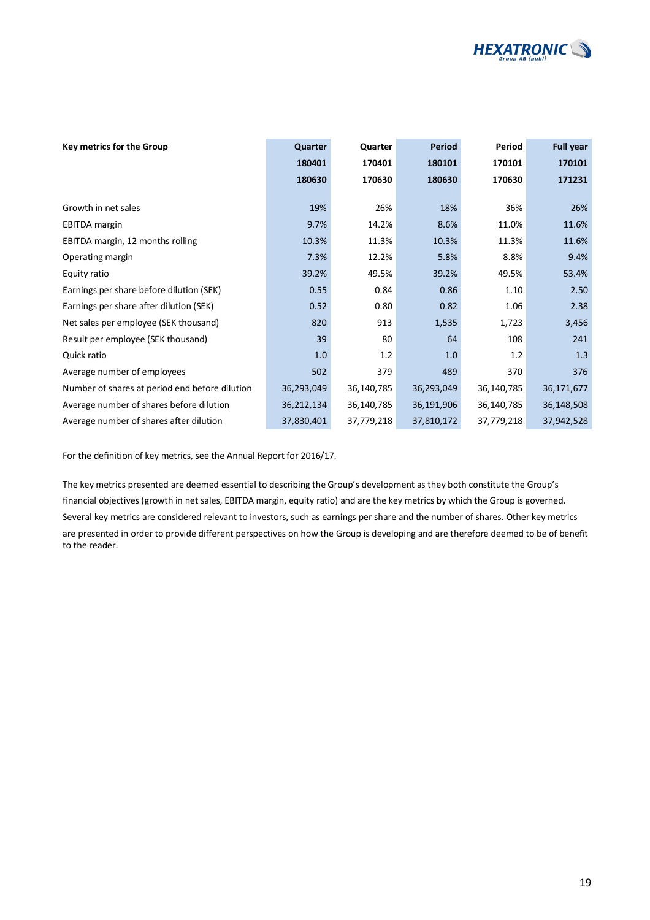

| Key metrics for the Group                      | Quarter    | Quarter    | Period     | Period     | <b>Full year</b> |
|------------------------------------------------|------------|------------|------------|------------|------------------|
|                                                | 180401     | 170401     | 180101     | 170101     | 170101           |
|                                                | 180630     | 170630     | 180630     | 170630     | 171231           |
|                                                |            |            |            |            |                  |
| Growth in net sales                            | 19%        | 26%        | 18%        | 36%        | 26%              |
| <b>EBITDA</b> margin                           | 9.7%       | 14.2%      | 8.6%       | 11.0%      | 11.6%            |
| EBITDA margin, 12 months rolling               | 10.3%      | 11.3%      | 10.3%      | 11.3%      | 11.6%            |
| Operating margin                               | 7.3%       | 12.2%      | 5.8%       | 8.8%       | 9.4%             |
| Equity ratio                                   | 39.2%      | 49.5%      | 39.2%      | 49.5%      | 53.4%            |
| Earnings per share before dilution (SEK)       | 0.55       | 0.84       | 0.86       | 1.10       | 2.50             |
| Earnings per share after dilution (SEK)        | 0.52       | 0.80       | 0.82       | 1.06       | 2.38             |
| Net sales per employee (SEK thousand)          | 820        | 913        | 1,535      | 1,723      | 3,456            |
| Result per employee (SEK thousand)             | 39         | 80         | 64         | 108        | 241              |
| Quick ratio                                    | 1.0        | 1.2        | 1.0        | 1.2        | 1.3              |
| Average number of employees                    | 502        | 379        | 489        | 370        | 376              |
| Number of shares at period end before dilution | 36,293,049 | 36,140,785 | 36,293,049 | 36,140,785 | 36,171,677       |
| Average number of shares before dilution       | 36,212,134 | 36,140,785 | 36,191,906 | 36,140,785 | 36,148,508       |
| Average number of shares after dilution        | 37,830,401 | 37,779,218 | 37,810,172 | 37,779,218 | 37,942,528       |

For the definition of key metrics, see the Annual Report for 2016/17.

The key metrics presented are deemed essential to describing the Group's development as they both constitute the Group's financial objectives (growth in net sales, EBITDA margin, equity ratio) and are the key metrics by which the Group is governed. Several key metrics are considered relevant to investors, such as earnings per share and the number of shares. Other key metrics are presented in order to provide different perspectives on how the Group is developing and are therefore deemed to be of benefit to the reader.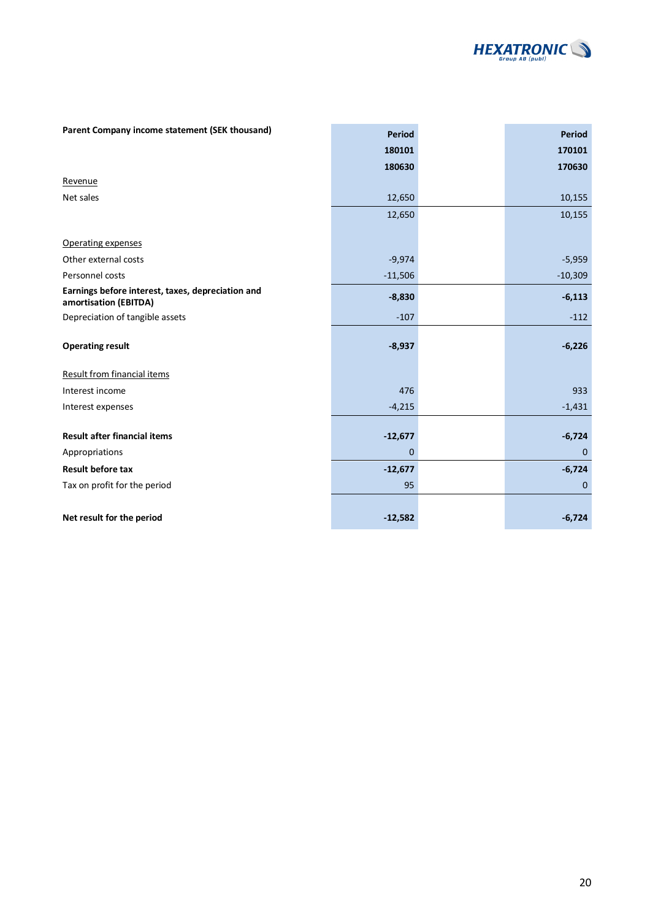

| Parent Company income statement (SEK thousand)                             | <b>Period</b> | <b>Period</b> |
|----------------------------------------------------------------------------|---------------|---------------|
|                                                                            | 180101        | 170101        |
|                                                                            | 180630        | 170630        |
| Revenue                                                                    |               |               |
| Net sales                                                                  | 12,650        | 10,155        |
|                                                                            | 12,650        | 10,155        |
| Operating expenses                                                         |               |               |
| Other external costs                                                       | $-9,974$      | $-5,959$      |
| Personnel costs                                                            | $-11,506$     | $-10,309$     |
| Earnings before interest, taxes, depreciation and<br>amortisation (EBITDA) | $-8,830$      | $-6,113$      |
| Depreciation of tangible assets                                            | $-107$        | $-112$        |
| <b>Operating result</b>                                                    | $-8,937$      | $-6,226$      |
| <b>Result from financial items</b>                                         |               |               |
| Interest income                                                            | 476           | 933           |
| Interest expenses                                                          | $-4,215$      | $-1,431$      |
| <b>Result after financial items</b>                                        | $-12,677$     | $-6,724$      |
| Appropriations                                                             | 0             | $\mathbf{0}$  |
| <b>Result before tax</b>                                                   |               |               |
|                                                                            | $-12,677$     | $-6,724$      |
| Tax on profit for the period                                               | 95            | $\mathbf{0}$  |
| Net result for the period                                                  | $-12,582$     | $-6,724$      |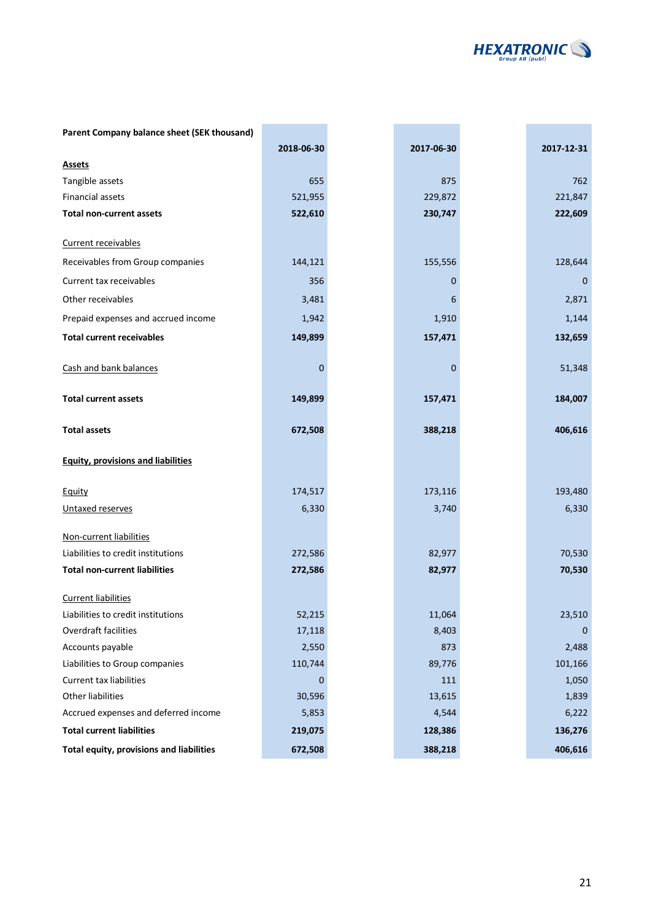

| Parent Company balance sheet (SEK thousand) |            |             |             |
|---------------------------------------------|------------|-------------|-------------|
|                                             | 2018-06-30 | 2017-06-30  | 2017-12-31  |
| <b>Assets</b>                               |            |             |             |
| Tangible assets                             | 655        | 875         | 762         |
| Financial assets                            | 521,955    | 229,872     | 221,847     |
| <b>Total non-current assets</b>             | 522,610    | 230,747     | 222,609     |
| Current receivables                         |            |             |             |
| Receivables from Group companies            | 144,121    | 155,556     | 128,644     |
| Current tax receivables                     | 356        | $\mathbf 0$ | 0           |
| Other receivables                           | 3,481      | 6           | 2,871       |
| Prepaid expenses and accrued income         | 1,942      | 1,910       | 1,144       |
| <b>Total current receivables</b>            | 149,899    | 157,471     | 132,659     |
| Cash and bank balances                      | 0          | $\mathbf 0$ | 51,348      |
| <b>Total current assets</b>                 | 149,899    | 157,471     | 184,007     |
| <b>Total assets</b>                         | 672,508    | 388,218     | 406,616     |
| <b>Equity, provisions and liabilities</b>   |            |             |             |
| <b>Equity</b>                               | 174,517    | 173,116     | 193,480     |
| Untaxed reserves                            | 6,330      | 3,740       | 6,330       |
| Non-current liabilities                     |            |             |             |
| Liabilities to credit institutions          | 272,586    | 82,977      | 70,530      |
| <b>Total non-current liabilities</b>        | 272,586    | 82,977      | 70,530      |
| <b>Current liabilities</b>                  |            |             |             |
| Liabilities to credit institutions          | 52,215     | 11,064      | 23,510      |
| Overdraft facilities                        | 17,118     | 8,403       | $\mathbf 0$ |
| Accounts payable                            | 2,550      | 873         | 2,488       |
| Liabilities to Group companies              | 110,744    | 89,776      | 101,166     |
| <b>Current tax liabilities</b>              | $\Omega$   | 111         | 1,050       |
| Other liabilities                           | 30,596     | 13,615      | 1,839       |
| Accrued expenses and deferred income        | 5,853      | 4,544       | 6,222       |
| <b>Total current liabilities</b>            | 219,075    | 128,386     | 136,276     |
| Total equity, provisions and liabilities    | 672,508    | 388,218     | 406,616     |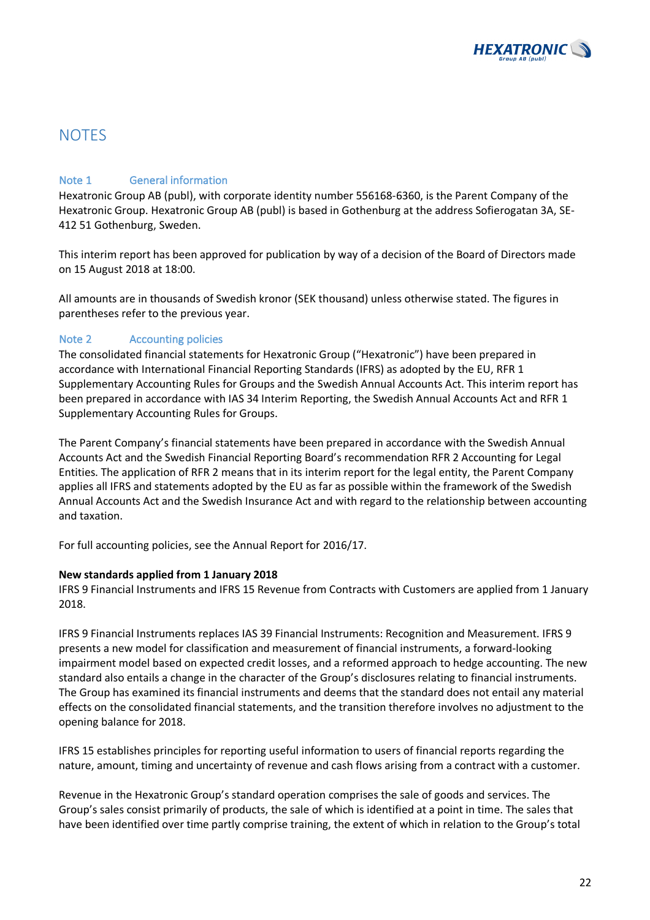

### **NOTES**

### Note 1 General information

Hexatronic Group AB (publ), with corporate identity number 556168-6360, is the Parent Company of the Hexatronic Group. Hexatronic Group AB (publ) is based in Gothenburg at the address Sofierogatan 3A, SE-412 51 Gothenburg, Sweden.

This interim report has been approved for publication by way of a decision of the Board of Directors made on 15 August 2018 at 18:00.

All amounts are in thousands of Swedish kronor (SEK thousand) unless otherwise stated. The figures in parentheses refer to the previous year.

### Note 2 Accounting policies

The consolidated financial statements for Hexatronic Group ("Hexatronic") have been prepared in accordance with International Financial Reporting Standards (IFRS) as adopted by the EU, RFR 1 Supplementary Accounting Rules for Groups and the Swedish Annual Accounts Act. This interim report has been prepared in accordance with IAS 34 Interim Reporting, the Swedish Annual Accounts Act and RFR 1 Supplementary Accounting Rules for Groups.

The Parent Company's financial statements have been prepared in accordance with the Swedish Annual Accounts Act and the Swedish Financial Reporting Board's recommendation RFR 2 Accounting for Legal Entities. The application of RFR 2 means that in its interim report for the legal entity, the Parent Company applies all IFRS and statements adopted by the EU as far as possible within the framework of the Swedish Annual Accounts Act and the Swedish Insurance Act and with regard to the relationship between accounting and taxation.

For full accounting policies, see the Annual Report for 2016/17.

### **New standards applied from 1 January 2018**

IFRS 9 Financial Instruments and IFRS 15 Revenue from Contracts with Customers are applied from 1 January 2018.

IFRS 9 Financial Instruments replaces IAS 39 Financial Instruments: Recognition and Measurement. IFRS 9 presents a new model for classification and measurement of financial instruments, a forward-looking impairment model based on expected credit losses, and a reformed approach to hedge accounting. The new standard also entails a change in the character of the Group's disclosures relating to financial instruments. The Group has examined its financial instruments and deems that the standard does not entail any material effects on the consolidated financial statements, and the transition therefore involves no adjustment to the opening balance for 2018.

IFRS 15 establishes principles for reporting useful information to users of financial reports regarding the nature, amount, timing and uncertainty of revenue and cash flows arising from a contract with a customer.

Revenue in the Hexatronic Group's standard operation comprises the sale of goods and services. The Group's sales consist primarily of products, the sale of which is identified at a point in time. The sales that have been identified over time partly comprise training, the extent of which in relation to the Group's total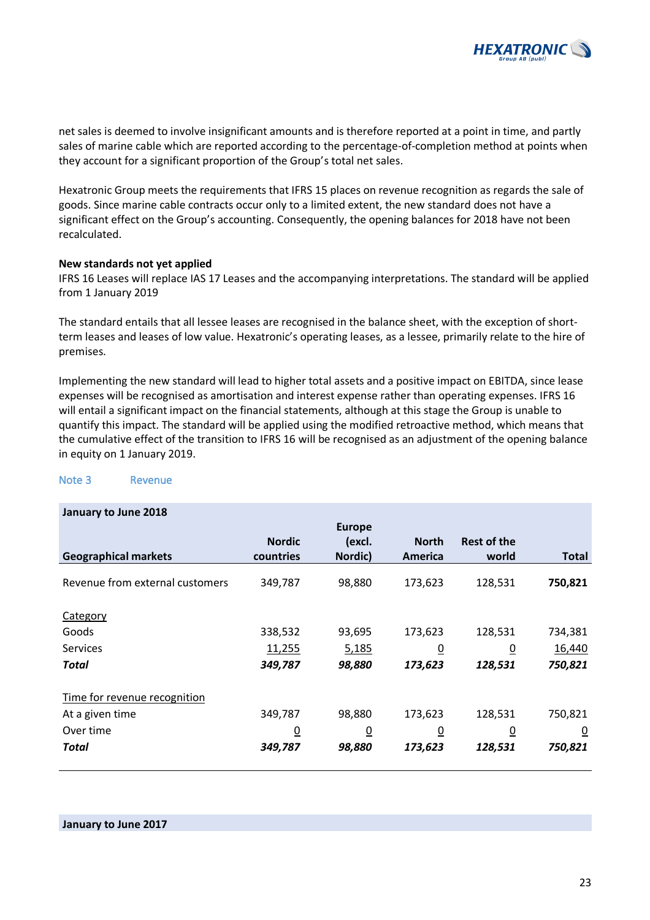

net sales is deemed to involve insignificant amounts and is therefore reported at a point in time, and partly sales of marine cable which are reported according to the percentage-of-completion method at points when they account for a significant proportion of the Group's total net sales.

Hexatronic Group meets the requirements that IFRS 15 places on revenue recognition as regards the sale of goods. Since marine cable contracts occur only to a limited extent, the new standard does not have a significant effect on the Group's accounting. Consequently, the opening balances for 2018 have not been recalculated.

#### **New standards not yet applied**

IFRS 16 Leases will replace IAS 17 Leases and the accompanying interpretations. The standard will be applied from 1 January 2019

The standard entails that all lessee leases are recognised in the balance sheet, with the exception of shortterm leases and leases of low value. Hexatronic's operating leases, as a lessee, primarily relate to the hire of premises.

Implementing the new standard will lead to higher total assets and a positive impact on EBITDA, since lease expenses will be recognised as amortisation and interest expense rather than operating expenses. IFRS 16 will entail a significant impact on the financial statements, although at this stage the Group is unable to quantify this impact. The standard will be applied using the modified retroactive method, which means that the cumulative effect of the transition to IFRS 16 will be recognised as an adjustment of the opening balance in equity on 1 January 2019.

| January to June 2018            |                |                |                |                    |                |
|---------------------------------|----------------|----------------|----------------|--------------------|----------------|
|                                 |                | <b>Europe</b>  |                |                    |                |
|                                 | <b>Nordic</b>  | (excl.         | <b>North</b>   | <b>Rest of the</b> |                |
| <b>Geographical markets</b>     | countries      | Nordic)        | America        | world              | <b>Total</b>   |
| Revenue from external customers | 349,787        | 98,880         | 173,623        | 128,531            | 750,821        |
| Category                        |                |                |                |                    |                |
| Goods                           | 338,532        | 93,695         | 173,623        | 128,531            | 734,381        |
| <b>Services</b>                 | 11,255         | 5,185          | $\overline{0}$ | $\overline{0}$     | 16,440         |
| Total                           | 349,787        | 98,880         | 173,623        | 128,531            | 750,821        |
| Time for revenue recognition    |                |                |                |                    |                |
| At a given time                 | 349,787        | 98,880         | 173,623        | 128,531            | 750,821        |
| Over time                       | $\overline{0}$ | $\overline{0}$ | $\overline{0}$ | $\underline{0}$    | $\overline{0}$ |
| Total                           | 349,787        | 98,880         | 173,623        | 128,531            | 750,821        |

#### Note 3 Revenue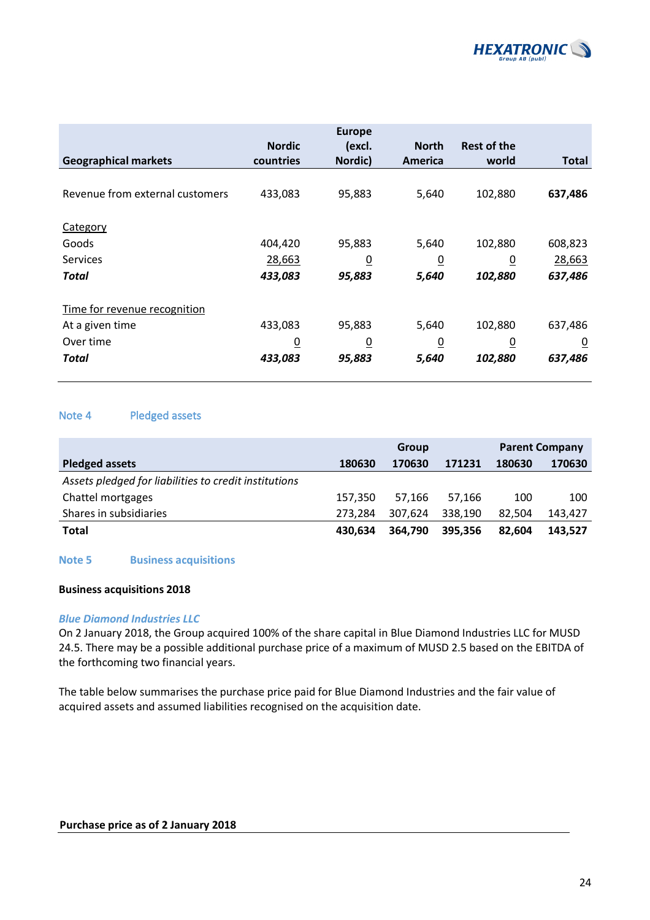

|                                 |                            | <b>Europe</b>     |                         |                             |                |
|---------------------------------|----------------------------|-------------------|-------------------------|-----------------------------|----------------|
| <b>Geographical markets</b>     | <b>Nordic</b><br>countries | (excl.<br>Nordic) | <b>North</b><br>America | <b>Rest of the</b><br>world | <b>Total</b>   |
|                                 |                            |                   |                         |                             |                |
| Revenue from external customers | 433,083                    | 95,883            | 5,640                   | 102,880                     | 637,486        |
| Category                        |                            |                   |                         |                             |                |
| Goods                           | 404,420                    | 95,883            | 5,640                   | 102,880                     | 608,823        |
| <b>Services</b>                 | 28,663                     | $\overline{0}$    | $\overline{0}$          | $\overline{0}$              | 28,663         |
| Total                           | 433,083                    | 95,883            | 5,640                   | 102,880                     | 637,486        |
| Time for revenue recognition    |                            |                   |                         |                             |                |
| At a given time                 | 433,083                    | 95,883            | 5,640                   | 102,880                     | 637,486        |
| Over time                       | $\overline{0}$             | $\overline{0}$    | $\overline{0}$          | $\overline{0}$              | $\overline{0}$ |
| Total                           | 433,083                    | 95,883            | 5,640                   | 102,880                     | 637,486        |

### Note 4 Pledged assets

|                                                       | <b>Group</b> |         |         | <b>Parent Company</b> |         |  |
|-------------------------------------------------------|--------------|---------|---------|-----------------------|---------|--|
| <b>Pledged assets</b>                                 | 180630       | 170630  | 171231  | 180630                | 170630  |  |
| Assets pledged for liabilities to credit institutions |              |         |         |                       |         |  |
| Chattel mortgages                                     | 157.350      | 57.166  | 57.166  | 100                   | 100     |  |
| Shares in subsidiaries                                | 273.284      | 307.624 | 338.190 | 82.504                | 143,427 |  |
| Total                                                 | 430.634      | 364.790 | 395.356 | 82.604                | 143.527 |  |

### **Note 5 Business acquisitions**

#### **Business acquisitions 2018**

#### *Blue Diamond Industries LLC*

On 2 January 2018, the Group acquired 100% of the share capital in Blue Diamond Industries LLC for MUSD 24.5. There may be a possible additional purchase price of a maximum of MUSD 2.5 based on the EBITDA of the forthcoming two financial years.

The table below summarises the purchase price paid for Blue Diamond Industries and the fair value of acquired assets and assumed liabilities recognised on the acquisition date.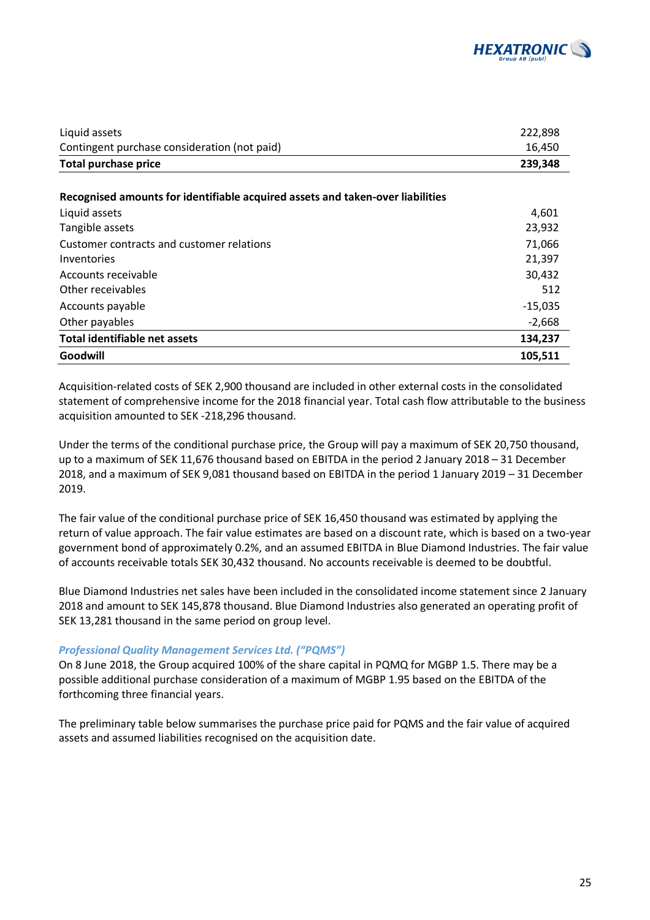

| Liquid assets                                                                  | 222,898   |
|--------------------------------------------------------------------------------|-----------|
| Contingent purchase consideration (not paid)                                   | 16,450    |
| <b>Total purchase price</b>                                                    | 239,348   |
| Recognised amounts for identifiable acquired assets and taken-over liabilities |           |
| Liquid assets                                                                  | 4,601     |
| Tangible assets                                                                | 23,932    |
| Customer contracts and customer relations                                      | 71,066    |
| Inventories                                                                    | 21,397    |
| Accounts receivable                                                            | 30,432    |
| Other receivables                                                              | 512       |
| Accounts payable                                                               | $-15,035$ |
| Other payables                                                                 | $-2,668$  |
| <b>Total identifiable net assets</b>                                           | 134,237   |
| Goodwill                                                                       | 105,511   |

Acquisition-related costs of SEK 2,900 thousand are included in other external costs in the consolidated statement of comprehensive income for the 2018 financial year. Total cash flow attributable to the business acquisition amounted to SEK -218,296 thousand.

Under the terms of the conditional purchase price, the Group will pay a maximum of SEK 20,750 thousand, up to a maximum of SEK 11,676 thousand based on EBITDA in the period 2 January 2018 – 31 December 2018, and a maximum of SEK 9,081 thousand based on EBITDA in the period 1 January 2019 – 31 December 2019.

The fair value of the conditional purchase price of SEK 16,450 thousand was estimated by applying the return of value approach. The fair value estimates are based on a discount rate, which is based on a two-year government bond of approximately 0.2%, and an assumed EBITDA in Blue Diamond Industries. The fair value of accounts receivable totals SEK 30,432 thousand. No accounts receivable is deemed to be doubtful.

Blue Diamond Industries net sales have been included in the consolidated income statement since 2 January 2018 and amount to SEK 145,878 thousand. Blue Diamond Industries also generated an operating profit of SEK 13,281 thousand in the same period on group level.

### *Professional Quality Management Services Ltd. ("PQMS")*

On 8 June 2018, the Group acquired 100% of the share capital in PQMQ for MGBP 1.5. There may be a possible additional purchase consideration of a maximum of MGBP 1.95 based on the EBITDA of the forthcoming three financial years.

The preliminary table below summarises the purchase price paid for PQMS and the fair value of acquired assets and assumed liabilities recognised on the acquisition date.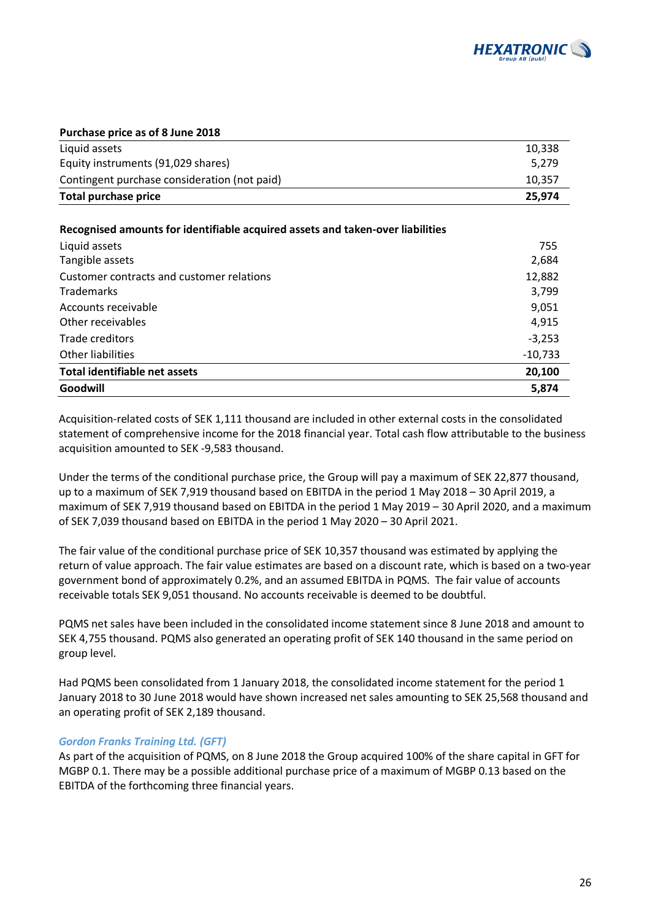

#### **Purchase price as of 8 June 2018**

| Total purchase price                         | 25.974 |
|----------------------------------------------|--------|
| Contingent purchase consideration (not paid) | 10.357 |
| Equity instruments (91,029 shares)           | 5.279  |
| Liquid assets                                | 10,338 |

#### **Recognised amounts for identifiable acquired assets and taken-over liabilities**

| Liquid assets                             | 755       |
|-------------------------------------------|-----------|
| Tangible assets                           | 2,684     |
| Customer contracts and customer relations | 12,882    |
| <b>Trademarks</b>                         | 3,799     |
| Accounts receivable                       | 9,051     |
| Other receivables                         | 4,915     |
| Trade creditors                           | $-3,253$  |
| Other liabilities                         | $-10,733$ |
| Total identifiable net assets             | 20,100    |
| Goodwill                                  | 5,874     |

Acquisition-related costs of SEK 1,111 thousand are included in other external costs in the consolidated statement of comprehensive income for the 2018 financial year. Total cash flow attributable to the business acquisition amounted to SEK -9,583 thousand.

Under the terms of the conditional purchase price, the Group will pay a maximum of SEK 22,877 thousand, up to a maximum of SEK 7,919 thousand based on EBITDA in the period 1 May 2018 – 30 April 2019, a maximum of SEK 7,919 thousand based on EBITDA in the period 1 May 2019 – 30 April 2020, and a maximum of SEK 7,039 thousand based on EBITDA in the period 1 May 2020 – 30 April 2021.

The fair value of the conditional purchase price of SEK 10,357 thousand was estimated by applying the return of value approach. The fair value estimates are based on a discount rate, which is based on a two-year government bond of approximately 0.2%, and an assumed EBITDA in PQMS. The fair value of accounts receivable totals SEK 9,051 thousand. No accounts receivable is deemed to be doubtful.

PQMS net sales have been included in the consolidated income statement since 8 June 2018 and amount to SEK 4,755 thousand. PQMS also generated an operating profit of SEK 140 thousand in the same period on group level.

Had PQMS been consolidated from 1 January 2018, the consolidated income statement for the period 1 January 2018 to 30 June 2018 would have shown increased net sales amounting to SEK 25,568 thousand and an operating profit of SEK 2,189 thousand.

### *Gordon Franks Training Ltd. (GFT)*

As part of the acquisition of PQMS, on 8 June 2018 the Group acquired 100% of the share capital in GFT for MGBP 0.1. There may be a possible additional purchase price of a maximum of MGBP 0.13 based on the EBITDA of the forthcoming three financial years.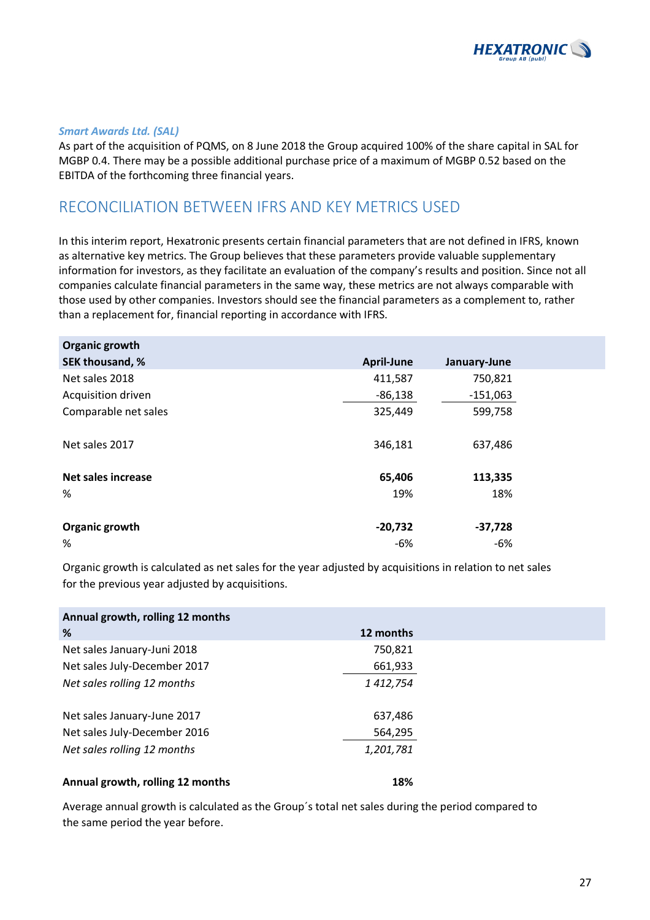

#### *Smart Awards Ltd. (SAL)*

As part of the acquisition of PQMS, on 8 June 2018 the Group acquired 100% of the share capital in SAL for MGBP 0.4. There may be a possible additional purchase price of a maximum of MGBP 0.52 based on the EBITDA of the forthcoming three financial years.

### RECONCILIATION BETWEEN IFRS AND KEY METRICS USED

In this interim report, Hexatronic presents certain financial parameters that are not defined in IFRS, known as alternative key metrics. The Group believes that these parameters provide valuable supplementary information for investors, as they facilitate an evaluation of the company's results and position. Since not all companies calculate financial parameters in the same way, these metrics are not always comparable with those used by other companies. Investors should see the financial parameters as a complement to, rather than a replacement for, financial reporting in accordance with IFRS.

| Organic growth            |                   |              |  |
|---------------------------|-------------------|--------------|--|
| SEK thousand, %           | <b>April-June</b> | January-June |  |
| Net sales 2018            | 411,587           | 750,821      |  |
| Acquisition driven        | $-86,138$         | $-151,063$   |  |
| Comparable net sales      | 325,449           | 599,758      |  |
| Net sales 2017            | 346,181           | 637,486      |  |
| <b>Net sales increase</b> | 65,406            | 113,335      |  |
| %                         | 19%               | 18%          |  |
| Organic growth            | $-20,732$         | $-37,728$    |  |
| %                         | -6%               | -6%          |  |

Organic growth is calculated as net sales for the year adjusted by acquisitions in relation to net sales for the previous year adjusted by acquisitions.

| Annual growth, rolling 12 months |           |
|----------------------------------|-----------|
| %                                | 12 months |
| Net sales January-Juni 2018      | 750,821   |
| Net sales July-December 2017     | 661,933   |
| Net sales rolling 12 months      | 1 412,754 |
|                                  |           |
| Net sales January-June 2017      | 637,486   |
| Net sales July-December 2016     | 564,295   |
| Net sales rolling 12 months      | 1,201,781 |
|                                  |           |
| Annual growth, rolling 12 months | 18%       |

Average annual growth is calculated as the Group´s total net sales during the period compared to the same period the year before.